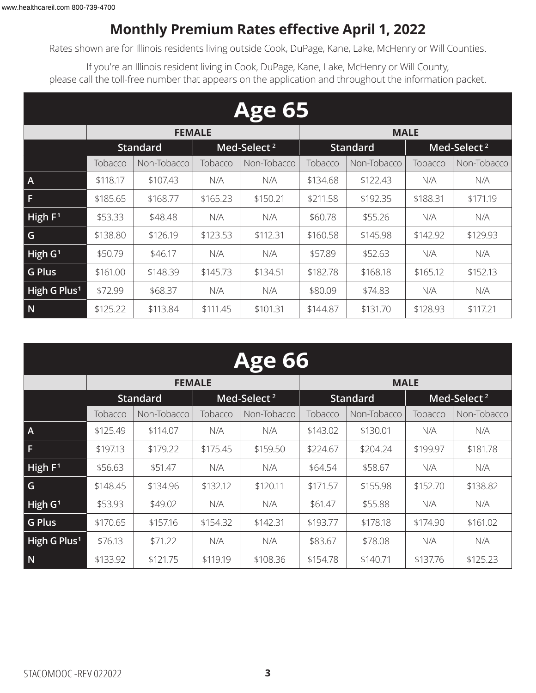### **Monthly Premium Rates effective April 1, 2022**

Rates shown are for Illinois residents living outside Cook, DuPage, Kane, Lake, McHenry or Will Counties.

If you're an Illinois resident living in Cook, DuPage, Kane, Lake, McHenry or Will County, please call the toll-free number that appears on the application and throughout the information packet.

|                          | <b>Age 65</b>          |               |          |                         |          |                 |          |                         |  |  |  |  |
|--------------------------|------------------------|---------------|----------|-------------------------|----------|-----------------|----------|-------------------------|--|--|--|--|
|                          |                        | <b>FEMALE</b> |          |                         |          | <b>MALE</b>     |          |                         |  |  |  |  |
|                          | <b>Standard</b>        |               |          | Med-Select <sup>2</sup> |          | <b>Standard</b> |          | Med-Select <sup>2</sup> |  |  |  |  |
|                          | Tobacco<br>Non-Tobacco |               | Tobacco  | Non-Tobacco             | Tobacco  | Non-Tobacco     | Tobacco  | Non-Tobacco             |  |  |  |  |
| $\overline{A}$           | \$118.17               | \$107.43      | N/A      | N/A                     | \$134.68 | \$122.43        | N/A      | N/A                     |  |  |  |  |
| F                        | \$185.65               | \$168.77      | \$165.23 | \$150.21                | \$211.58 | \$192.35        | \$188.31 | \$171.19                |  |  |  |  |
| High F <sup>1</sup>      | \$53.33                | \$48.48       | N/A      | N/A                     | \$60.78  | \$55.26         | N/A      | N/A                     |  |  |  |  |
| G                        | \$138.80               | \$126.19      | \$123.53 | \$112.31                | \$160.58 | \$145.98        | \$142.92 | \$129.93                |  |  |  |  |
| High $G1$                | \$50.79                | \$46.17       | N/A      | N/A                     | \$57.89  | \$52.63         | N/A      | N/A                     |  |  |  |  |
| <b>G Plus</b>            | \$161.00               | \$148.39      | \$145.73 | \$134.51                | \$182.78 | \$168.18        | \$165.12 | \$152.13                |  |  |  |  |
| High G Plus <sup>1</sup> | \$72.99                | \$68.37       | N/A      | N/A                     | \$80.09  | \$74.83         | N/A      | N/A                     |  |  |  |  |
| N                        | \$125.22               | \$113.84      | \$111.45 | \$101.31                | \$144.87 | \$131.70        | \$128.93 | \$117.21                |  |  |  |  |

| <b>Age 66</b>            |          |                 |          |                         |          |                 |          |                         |  |  |
|--------------------------|----------|-----------------|----------|-------------------------|----------|-----------------|----------|-------------------------|--|--|
|                          |          | <b>FEMALE</b>   |          |                         |          | <b>MALE</b>     |          |                         |  |  |
|                          |          | <b>Standard</b> |          | Med-Select <sup>2</sup> |          | <b>Standard</b> |          | Med-Select <sup>2</sup> |  |  |
|                          | Tobacco  | Non-Tobacco     | Tobacco  | Non-Tobacco             | Tobacco  | Non-Tobacco     | Tobacco  | Non-Tobacco             |  |  |
| $\overline{A}$           | \$125.49 | \$114.07        | N/A      | N/A                     | \$143.02 | \$130.01        | N/A      | N/A                     |  |  |
| F                        | \$197.13 | \$179.22        | \$175.45 | \$159.50                | \$224.67 | \$204.24        | \$199.97 | \$181.78                |  |  |
| High $F1$                | \$56.63  | \$51.47         | N/A      | N/A                     | \$64.54  | \$58.67         | N/A      | N/A                     |  |  |
| G                        | \$148.45 | \$134.96        | \$132.12 | \$120.11                | \$171.57 | \$155.98        | \$152.70 | \$138.82                |  |  |
| High $G1$                | \$53.93  | \$49.02         | N/A      | N/A                     | \$61.47  | \$55.88         | N/A      | N/A                     |  |  |
| <b>G Plus</b>            | \$170.65 | \$157.16        | \$154.32 | \$142.31                | \$193.77 | \$178.18        | \$174.90 | \$161.02                |  |  |
| High G Plus <sup>1</sup> | \$76.13  | \$71.22         | N/A      | N/A                     | \$83.67  | \$78.08         | N/A      | N/A                     |  |  |
| N                        | \$133.92 | \$121.75        | \$119.19 | \$108.36                | \$154.78 | \$140.71        | \$137.76 | \$125.23                |  |  |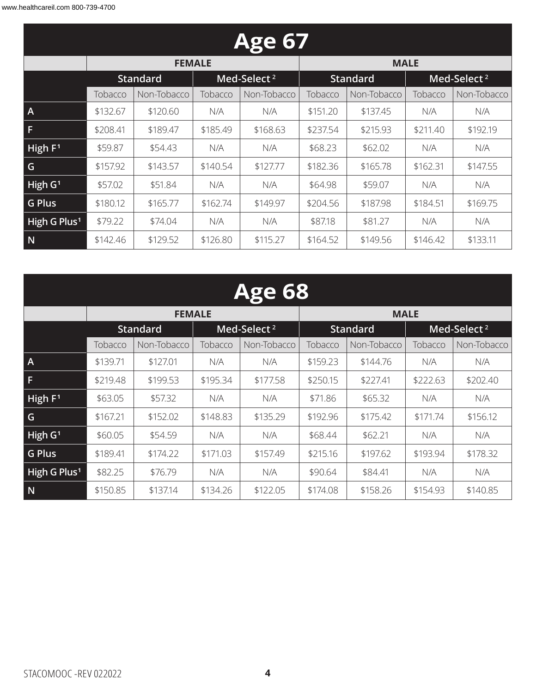| <b>Age 67</b>            |          |                 |          |                         |          |                 |          |                         |  |  |
|--------------------------|----------|-----------------|----------|-------------------------|----------|-----------------|----------|-------------------------|--|--|
|                          |          | <b>FEMALE</b>   |          |                         |          | <b>MALE</b>     |          |                         |  |  |
|                          |          | <b>Standard</b> |          | Med-Select <sup>2</sup> |          | <b>Standard</b> |          | Med-Select <sup>2</sup> |  |  |
|                          | Tobacco  | Non-Tobacco     | Tobacco  | Non-Tobacco             | Tobacco  | Non-Tobacco     | Tobacco  | Non-Tobacco             |  |  |
| $\mathsf{A}$             | \$132.67 | \$120.60        | N/A      | N/A                     | \$151.20 | \$137.45        | N/A      | N/A                     |  |  |
| F                        | \$208.41 | \$189.47        | \$185.49 | \$168.63                | \$237.54 | \$215.93        | \$211.40 | \$192.19                |  |  |
| High $F1$                | \$59.87  | \$54.43         | N/A      | N/A                     | \$68.23  | \$62.02         | N/A      | N/A                     |  |  |
| G                        | \$157.92 | \$143.57        | \$140.54 | \$127.77                | \$182.36 | \$165.78        | \$162.31 | \$147.55                |  |  |
| High $G1$                | \$57.02  | \$51.84         | N/A      | N/A                     | \$64.98  | \$59.07         | N/A      | N/A                     |  |  |
| <b>G Plus</b>            | \$180.12 | \$165.77        | \$162.74 | \$149.97                | \$204.56 | \$187.98        | \$184.51 | \$169.75                |  |  |
| High G Plus <sup>1</sup> | \$79.22  | \$74.04         | N/A      | N/A                     | \$87.18  | \$81.27         | N/A      | N/A                     |  |  |
| N                        | \$142.46 | \$129.52        | \$126.80 | \$115.27                | \$164.52 | \$149.56        | \$146.42 | \$133.11                |  |  |

|                          | <b>Age 68</b>          |                 |          |                         |          |                 |          |                         |  |  |  |
|--------------------------|------------------------|-----------------|----------|-------------------------|----------|-----------------|----------|-------------------------|--|--|--|
|                          |                        | <b>FEMALE</b>   |          |                         |          | <b>MALE</b>     |          |                         |  |  |  |
|                          |                        | <b>Standard</b> |          | Med-Select <sup>2</sup> |          | <b>Standard</b> |          | Med-Select <sup>2</sup> |  |  |  |
|                          | Non-Tobacco<br>Tobacco |                 | Tobacco  | Non-Tobacco             | Tobacco  | Non-Tobacco     | Tobacco  | Non-Tobacco             |  |  |  |
| $\overline{A}$           | \$139.71               | \$127.01        | N/A      | N/A                     | \$159.23 | \$144.76        | N/A      | N/A                     |  |  |  |
| F                        | \$219.48               | \$199.53        | \$195.34 | \$177.58                | \$250.15 | \$227.41        | \$222.63 | \$202.40                |  |  |  |
| High $F1$                | \$63.05                | \$57.32         | N/A      | N/A                     | \$71.86  | \$65.32         | N/A      | N/A                     |  |  |  |
| G                        | \$167.21               | \$152.02        | \$148.83 | \$135.29                | \$192.96 | \$175.42        | \$171.74 | \$156.12                |  |  |  |
| $H$ igh G <sup>1</sup>   | \$60.05                | \$54.59         | N/A      | N/A                     | \$68.44  | \$62.21         | N/A      | N/A                     |  |  |  |
| <b>G Plus</b>            | \$189.41               | \$174.22        | \$171.03 | \$157.49                | \$215.16 | \$197.62        | \$193.94 | \$178.32                |  |  |  |
| High G Plus <sup>1</sup> | \$82.25                | \$76.79         | N/A      | N/A                     | \$90.64  | \$84.41         | N/A      | N/A                     |  |  |  |
| N                        | \$150.85               | \$137.14        | \$134.26 | \$122.05                | \$174.08 | \$158.26        | \$154.93 | \$140.85                |  |  |  |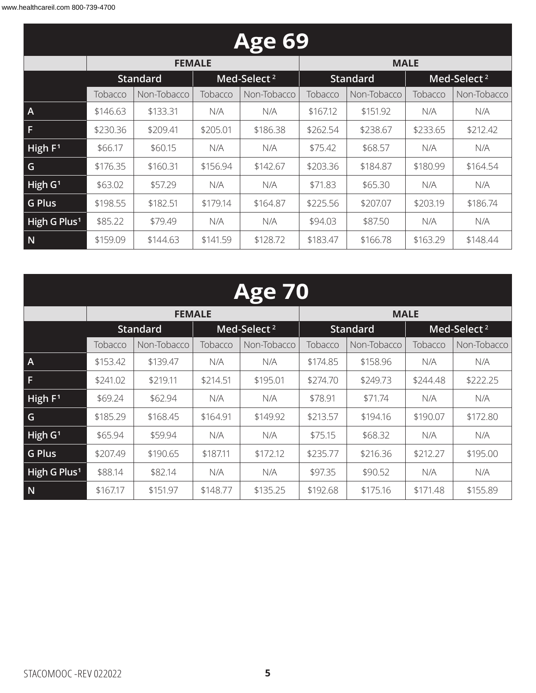| <b>Age 69</b>            |          |                 |          |                         |          |                 |          |                         |  |  |
|--------------------------|----------|-----------------|----------|-------------------------|----------|-----------------|----------|-------------------------|--|--|
|                          |          | <b>FEMALE</b>   |          |                         |          | <b>MALE</b>     |          |                         |  |  |
|                          |          | <b>Standard</b> |          | Med-Select <sup>2</sup> |          | <b>Standard</b> |          | Med-Select <sup>2</sup> |  |  |
|                          | Tobacco  | Non-Tobacco     | Tobacco  | Non-Tobacco             | Tobacco  | Non-Tobacco     | Tobacco  | Non-Tobacco             |  |  |
| $\overline{A}$           | \$146.63 | \$133.31        | N/A      | N/A                     | \$167.12 | \$151.92        | N/A      | N/A                     |  |  |
| F                        | \$230.36 | \$209.41        | \$205.01 | \$186.38                | \$262.54 | \$238.67        | \$233.65 | \$212.42                |  |  |
| High $F1$                | \$66.17  | \$60.15         | N/A      | N/A                     | \$75.42  | \$68.57         | N/A      | N/A                     |  |  |
| G                        | \$176.35 | \$160.31        | \$156.94 | \$142.67                | \$203.36 | \$184.87        | \$180.99 | \$164.54                |  |  |
| High $G1$                | \$63.02  | \$57.29         | N/A      | N/A                     | \$71.83  | \$65.30         | N/A      | N/A                     |  |  |
| <b>G Plus</b>            | \$198.55 | \$182.51        | \$179.14 | \$164.87                | \$225.56 | \$207.07        | \$203.19 | \$186.74                |  |  |
| High G Plus <sup>1</sup> | \$85.22  | \$79.49         | N/A      | N/A                     | \$94.03  | \$87.50         | N/A      | N/A                     |  |  |
| N                        | \$159.09 | \$144.63        | \$141.59 | \$128.72                | \$183.47 | \$166.78        | \$163.29 | \$148.44                |  |  |

| <b>Age 70</b>            |                                            |               |          |             |          |                 |          |                         |  |  |  |
|--------------------------|--------------------------------------------|---------------|----------|-------------|----------|-----------------|----------|-------------------------|--|--|--|
|                          |                                            | <b>FEMALE</b> |          |             |          | <b>MALE</b>     |          |                         |  |  |  |
|                          | Med-Select <sup>2</sup><br><b>Standard</b> |               |          |             |          | <b>Standard</b> |          | Med-Select <sup>2</sup> |  |  |  |
|                          | Tobacco                                    | Non-Tobacco   | Tobacco  | Non-Tobacco | Tobacco  | Non-Tobacco     | Tobacco  | Non-Tobacco             |  |  |  |
| $\overline{A}$           | \$153.42                                   | \$139.47      | N/A      | N/A         | \$174.85 | \$158.96        | N/A      | N/A                     |  |  |  |
| $\mathsf F$              | \$241.02                                   | \$219.11      | \$214.51 | \$195.01    | \$274.70 | \$249.73        | \$244.48 | \$222.25                |  |  |  |
| High F <sup>1</sup>      | \$69.24                                    | \$62.94       | N/A      | N/A         | \$78.91  | \$71.74         | N/A      | N/A                     |  |  |  |
| $\overline{G}$           | \$185.29                                   | \$168.45      | \$164.91 | \$149.92    | \$213.57 | \$194.16        | \$190.07 | \$172.80                |  |  |  |
| High G <sup>1</sup>      | \$65.94                                    | \$59.94       | N/A      | N/A         | \$75.15  | \$68.32         | N/A      | N/A                     |  |  |  |
| G Plus                   | \$207.49                                   | \$190.65      | \$187.11 | \$172.12    | \$235.77 | \$216.36        | \$212.27 | \$195.00                |  |  |  |
| High G Plus <sup>1</sup> | \$88.14                                    | \$82.14       | N/A      | N/A         | \$97.35  | \$90.52         | N/A      | N/A                     |  |  |  |
| $\overline{\mathsf{N}}$  | \$167.17                                   | \$151.97      | \$148.77 | \$135.25    | \$192.68 | \$175.16        | \$171.48 | \$155.89                |  |  |  |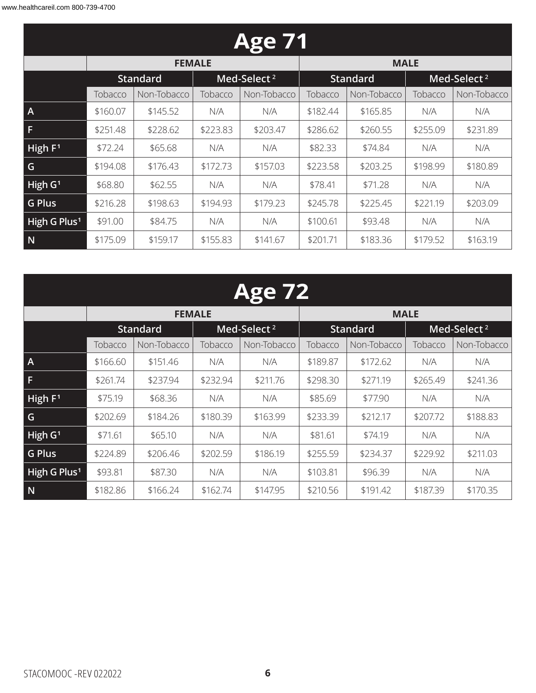| <b>Age 71</b>            |                                            |               |          |             |          |                 |          |                                                                                            |  |  |
|--------------------------|--------------------------------------------|---------------|----------|-------------|----------|-----------------|----------|--------------------------------------------------------------------------------------------|--|--|
|                          |                                            | <b>FEMALE</b> |          |             |          | <b>MALE</b>     |          |                                                                                            |  |  |
|                          | Med-Select <sup>2</sup><br><b>Standard</b> |               |          |             |          | <b>Standard</b> |          | Med-Select <sup>2</sup><br>Non-Tobacco<br>N/A<br>N/A<br>\$231.89<br>N/A<br>N/A<br>\$180.89 |  |  |
|                          | Tobacco                                    | Non-Tobacco   | Tobacco  | Non-Tobacco | Tobacco  | Non-Tobacco     | Tobacco  |                                                                                            |  |  |
| $\overline{A}$           | \$160.07                                   | \$145.52      | N/A      | N/A         | \$182.44 | \$165.85        |          |                                                                                            |  |  |
| F                        | \$251.48                                   | \$228.62      | \$223.83 | \$203.47    | \$286.62 | \$260.55        | \$255.09 |                                                                                            |  |  |
| High $F1$                | \$72.24                                    | \$65.68       | N/A      | N/A         | \$82.33  | \$74.84         |          |                                                                                            |  |  |
| G                        | \$194.08                                   | \$176.43      | \$172.73 | \$157.03    | \$223.58 | \$203.25        | \$198.99 |                                                                                            |  |  |
| High $G1$                | \$68.80                                    | \$62.55       | N/A      | N/A         | \$78.41  | \$71.28         | N/A      | N/A                                                                                        |  |  |
| <b>G Plus</b>            | \$216.28                                   | \$198.63      | \$194.93 | \$179.23    | \$245.78 | \$225.45        | \$221.19 | \$203.09                                                                                   |  |  |
| High G Plus <sup>1</sup> | \$91.00                                    | \$84.75       | N/A      | N/A         | \$100.61 | \$93.48         | N/A      | N/A                                                                                        |  |  |
| N                        | \$175.09                                   | \$159.17      | \$155.83 | \$141.67    | \$201.71 | \$183.36        | \$179.52 | \$163.19                                                                                   |  |  |

### **Age 72**

|                          |          | <b>FEMALE</b>   |          |                         |          | <b>MALE</b>     |                         |             |  |
|--------------------------|----------|-----------------|----------|-------------------------|----------|-----------------|-------------------------|-------------|--|
|                          |          | <b>Standard</b> |          | Med-Select <sup>2</sup> |          | <b>Standard</b> | Med-Select <sup>2</sup> |             |  |
|                          | Tobacco  | Non-Tobacco     | Tobacco  | Non-Tobacco             | Tobacco  | Non-Tobacco     | Tobacco                 | Non-Tobacco |  |
| $\overline{A}$           | \$166.60 | \$151.46        | N/A      | N/A                     | \$189.87 | \$172.62        | N/A                     | N/A         |  |
| F                        | \$261.74 | \$237.94        | \$232.94 | \$211.76                | \$298.30 | \$271.19        | \$265.49                | \$241.36    |  |
| High F <sup>1</sup>      | \$75.19  | \$68.36         | N/A      | N/A                     | \$85.69  | \$77.90         | N/A                     | N/A         |  |
| G                        | \$202.69 | \$184.26        | \$180.39 | \$163.99                | \$233.39 | \$212.17        | \$207.72                | \$188.83    |  |
| High G <sup>1</sup>      | \$71.61  | \$65.10         | N/A      | N/A                     | \$81.61  | \$74.19         | N/A                     | N/A         |  |
| G Plus                   | \$224.89 | \$206.46        | \$202.59 | \$186.19                | \$255.59 | \$234.37        | \$229.92                | \$211.03    |  |
| High G Plus <sup>1</sup> | \$93.81  | \$87.30         | N/A      | N/A                     | \$103.81 | \$96.39         | N/A                     | N/A         |  |
| $\overline{N}$           | \$182.86 | \$166.24        | \$162.74 | \$147.95                | \$210.56 | \$191.42        | \$187.39                | \$170.35    |  |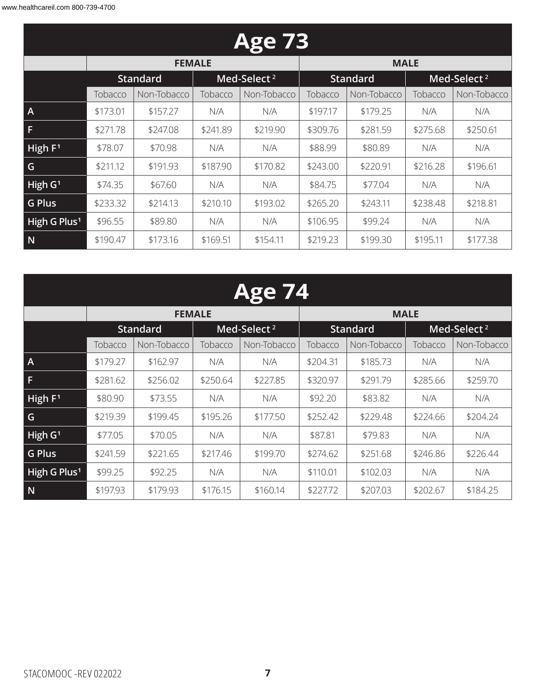|                          | <b>Age 73</b> |                 |          |                         |          |                 |          |                         |  |  |  |
|--------------------------|---------------|-----------------|----------|-------------------------|----------|-----------------|----------|-------------------------|--|--|--|
|                          |               | <b>FEMALE</b>   |          |                         |          | <b>MALE</b>     |          |                         |  |  |  |
|                          |               | <b>Standard</b> |          | Med-Select <sup>2</sup> |          | <b>Standard</b> |          | Med-Select <sup>2</sup> |  |  |  |
|                          | Tobacco       | Non-Tobacco     | Tobacco  | Non-Tobacco             | Tobacco  | Non-Tobacco     | Tobacco  | Non-Tobacco             |  |  |  |
| $\mathsf{A}$             | \$173.01      | \$157.27        | N/A      | N/A                     | \$197.17 | \$179.25        | N/A      | N/A                     |  |  |  |
| F                        | \$271.78      | \$247.08        | \$241.89 | \$219.90                | \$309.76 | \$281.59        | \$275.68 | \$250.61                |  |  |  |
| High $F1$                | \$78.07       | \$70.98         | N/A      | N/A                     | \$88.99  | \$80.89         | N/A      | N/A                     |  |  |  |
| G                        | \$211.12      | \$191.93        | \$187.90 | \$170.82                | \$243.00 | \$220.91        | \$216.28 | \$196.61                |  |  |  |
| High $G1$                | \$74.35       | \$67.60         | N/A      | N/A                     | \$84.75  | \$77.04         | N/A      | N/A                     |  |  |  |
| <b>G Plus</b>            | \$233.32      | \$214.13        | \$210.10 | \$193.02                | \$265.20 | \$243.11        | \$238.48 | \$218.81                |  |  |  |
| High G Plus <sup>1</sup> | \$96.55       | \$89.80         | N/A      | N/A                     | \$106.95 | \$99.24         | N/A      | N/A                     |  |  |  |
| N                        | \$190.47      | \$173.16        | \$169.51 | \$154.11                | \$219.23 | \$199.30        | \$195.11 | \$177.38                |  |  |  |

| <b>Age 74</b>            |          |                 |          |                         |          |                 |          |                         |  |  |
|--------------------------|----------|-----------------|----------|-------------------------|----------|-----------------|----------|-------------------------|--|--|
|                          |          | <b>FEMALE</b>   |          |                         |          | <b>MALE</b>     |          |                         |  |  |
|                          |          | <b>Standard</b> |          | Med-Select <sup>2</sup> |          | <b>Standard</b> |          | Med-Select <sup>2</sup> |  |  |
|                          | Tobacco  | Non-Tobacco     | Tobacco  | Non-Tobacco             | Tobacco  | Non-Tobacco     | Tobacco  | Non-Tobacco             |  |  |
| Α                        | \$179.27 | \$162.97        | N/A      | N/A                     | \$204.31 | \$185.73        | N/A      | N/A                     |  |  |
| F                        | \$281.62 | \$256.02        | \$250.64 | \$227.85                | \$320.97 | \$291.79        | \$285.66 | \$259.70                |  |  |
| High $F1$                | \$80.90  | \$73.55         | N/A      | N/A                     | \$92.20  | \$83.82         | N/A      | N/A                     |  |  |
| G                        | \$219.39 | \$199.45        | \$195.26 | \$177.50                | \$252.42 | \$229.48        | \$224.66 | \$204.24                |  |  |
| High G <sup>1</sup>      | \$77.05  | \$70.05         | N/A      | N/A                     | \$87.81  | \$79.83         | N/A      | N/A                     |  |  |
| <b>G Plus</b>            | \$241.59 | \$221.65        | \$217.46 | \$199.70                | \$274.62 | \$251.68        | \$246.86 | \$226.44                |  |  |
| High G Plus <sup>1</sup> | \$99.25  | \$92.25         | N/A      | N/A                     | \$110.01 | \$102.03        | N/A      | N/A                     |  |  |
| N                        | \$197.93 | \$179.93        | \$176.15 | \$160.14                | \$227.72 | \$207.03        | \$202.67 | \$184.25                |  |  |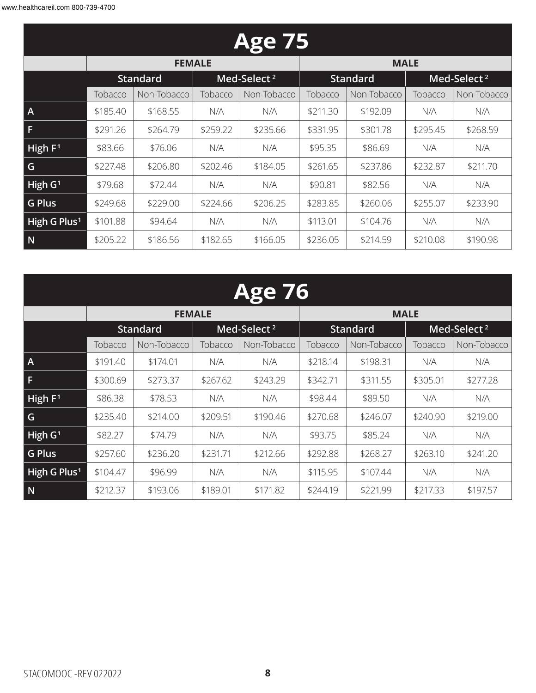|                          |                        | <b>Age 75</b>   |          |                         |          |                 |          |                         |  |  |  |  |
|--------------------------|------------------------|-----------------|----------|-------------------------|----------|-----------------|----------|-------------------------|--|--|--|--|
|                          |                        | <b>FEMALE</b>   |          |                         |          | <b>MALE</b>     |          |                         |  |  |  |  |
|                          |                        | <b>Standard</b> |          | Med-Select <sup>2</sup> |          | <b>Standard</b> |          | Med-Select <sup>2</sup> |  |  |  |  |
|                          | Tobacco<br>Non-Tobacco |                 | Tobacco  | Non-Tobacco             | Tobacco  | Non-Tobacco     | Tobacco  | Non-Tobacco             |  |  |  |  |
| $\mathsf{A}$             | \$185.40               | \$168.55        | N/A      | N/A                     | \$211.30 | \$192.09        | N/A      | N/A                     |  |  |  |  |
| F                        | \$291.26               | \$264.79        | \$259.22 | \$235.66                | \$331.95 | \$301.78        | \$295.45 | \$268.59                |  |  |  |  |
| High $F1$                | \$83.66                | \$76.06         | N/A      | N/A                     | \$95.35  | \$86.69         | N/A      | N/A                     |  |  |  |  |
| G                        | \$227.48               | \$206.80        | \$202.46 | \$184.05                | \$261.65 | \$237.86        | \$232.87 | \$211.70                |  |  |  |  |
| High $G1$                | \$79.68                | \$72.44         | N/A      | N/A                     | \$90.81  | \$82.56         | N/A      | N/A                     |  |  |  |  |
| <b>G Plus</b>            | \$249.68               | \$229.00        | \$224.66 | \$206.25                | \$283.85 | \$260.06        | \$255.07 | \$233.90                |  |  |  |  |
| High G Plus <sup>1</sup> | \$101.88               | \$94.64         | N/A      | N/A                     | \$113.01 | \$104.76        | N/A      | N/A                     |  |  |  |  |
| N                        | \$205.22               | \$186.56        | \$182.65 | \$166.05                | \$236.05 | \$214.59        | \$210.08 | \$190.98                |  |  |  |  |

|                          | Age 76                 |                 |          |                         |          |                 |          |                         |  |  |  |  |
|--------------------------|------------------------|-----------------|----------|-------------------------|----------|-----------------|----------|-------------------------|--|--|--|--|
|                          |                        | <b>FEMALE</b>   |          |                         |          | <b>MALE</b>     |          |                         |  |  |  |  |
|                          |                        | <b>Standard</b> |          | Med-Select <sup>2</sup> |          | <b>Standard</b> |          | Med-Select <sup>2</sup> |  |  |  |  |
|                          | Non-Tobacco<br>Tobacco |                 | Tobacco  | Non-Tobacco             | Tobacco  | Non-Tobacco     | Tobacco  | Non-Tobacco             |  |  |  |  |
| A                        | \$191.40               | \$174.01        | N/A      | N/A                     | \$218.14 | \$198.31        | N/A      | N/A                     |  |  |  |  |
| F                        | \$300.69               | \$273.37        | \$267.62 | \$243.29                | \$342.71 | \$311.55        | \$305.01 | \$277.28                |  |  |  |  |
| High F <sup>1</sup>      | \$86.38                | \$78.53         | N/A      | N/A                     | \$98.44  | \$89.50         | N/A      | N/A                     |  |  |  |  |
| G.                       | \$235.40               | \$214.00        | \$209.51 | \$190.46                | \$270.68 | \$246.07        | \$240.90 | \$219.00                |  |  |  |  |
| High G <sup>1</sup>      | \$82.27                | \$74.79         | N/A      | N/A                     | \$93.75  | \$85.24         | N/A      | N/A                     |  |  |  |  |
| <b>G Plus</b>            | \$257.60               | \$236.20        | \$231.71 | \$212.66                | \$292.88 | \$268.27        | \$263.10 | \$241.20                |  |  |  |  |
| High G Plus <sup>1</sup> | \$104.47               | \$96.99         | N/A      | N/A                     | \$115.95 | \$107.44        | N/A      | N/A                     |  |  |  |  |
| N                        | \$212.37               | \$193.06        | \$189.01 | \$171.82                | \$244.19 | \$221.99        | \$217.33 | \$197.57                |  |  |  |  |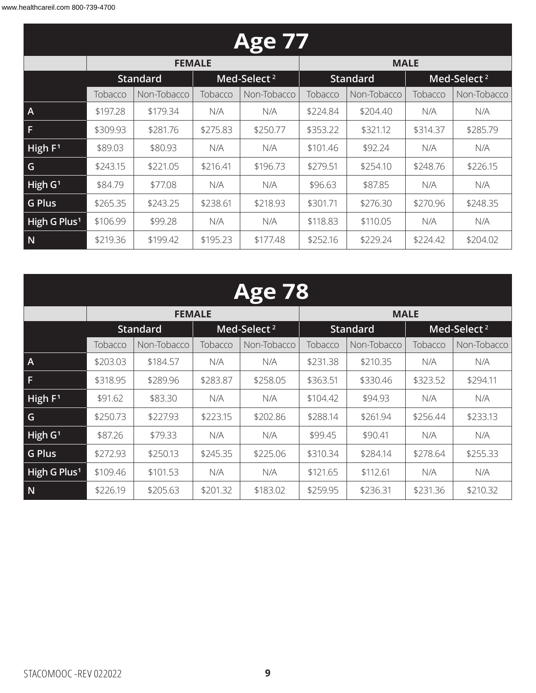| <b>Age 77</b>            |          |                 |          |                         |          |                 |          |                         |  |  |
|--------------------------|----------|-----------------|----------|-------------------------|----------|-----------------|----------|-------------------------|--|--|
|                          |          | <b>FEMALE</b>   |          |                         |          | <b>MALE</b>     |          |                         |  |  |
|                          |          | <b>Standard</b> |          | Med-Select <sup>2</sup> |          | <b>Standard</b> |          | Med-Select <sup>2</sup> |  |  |
|                          | Tobacco  | Non-Tobacco     | Tobacco  | Non-Tobacco             | Tobacco  | Non-Tobacco     | Tobacco  | Non-Tobacco             |  |  |
| $\overline{A}$           | \$197.28 | \$179.34        | N/A      | N/A                     | \$224.84 | \$204.40        | N/A      | N/A                     |  |  |
| F                        | \$309.93 | \$281.76        | \$275.83 | \$250.77                | \$353.22 | \$321.12        | \$314.37 | \$285.79                |  |  |
| High $F1$                | \$89.03  | \$80.93         | N/A      | N/A                     | \$101.46 | \$92.24         | N/A      | N/A                     |  |  |
| G                        | \$243.15 | \$221.05        | \$216.41 | \$196.73                | \$279.51 | \$254.10        | \$248.76 | \$226.15                |  |  |
| High $G1$                | \$84.79  | \$77.08         | N/A      | N/A                     | \$96.63  | \$87.85         | N/A      | N/A                     |  |  |
| <b>G Plus</b>            | \$265.35 | \$243.25        | \$238.61 | \$218.93                | \$301.71 | \$276.30        | \$270.96 | \$248.35                |  |  |
| High G Plus <sup>1</sup> | \$106.99 | \$99.28         | N/A      | N/A                     | \$118.83 | \$110.05        | N/A      | N/A                     |  |  |
| N                        | \$219.36 | \$199.42        | \$195.23 | \$177.48                | \$252.16 | \$229.24        | \$224.42 | \$204.02                |  |  |

| Δ<br>( O ) |  |
|------------|--|
|            |  |

|                          |          | <b>FEMALE</b>   |          |                         | <b>MALE</b> |                 |          |                         |  |
|--------------------------|----------|-----------------|----------|-------------------------|-------------|-----------------|----------|-------------------------|--|
|                          |          | <b>Standard</b> |          | Med-Select <sup>2</sup> |             | <b>Standard</b> |          | Med-Select <sup>2</sup> |  |
|                          | Tobacco  | Non-Tobacco     | Tobacco  | Non-Tobacco             | Tobacco     | Non-Tobacco     | Tobacco  | Non-Tobacco             |  |
| $\mathsf{A}$             | \$203.03 | \$184.57        | N/A      | N/A                     | \$231.38    | \$210.35        | N/A      | N/A                     |  |
| F                        | \$318.95 | \$289.96        | \$283.87 | \$258.05                | \$363.51    | \$330.46        | \$323.52 | \$294.11                |  |
| High $F1$                | \$91.62  | \$83.30         | N/A      | N/A                     | \$104.42    | \$94.93         | N/A      | N/A                     |  |
| G                        | \$250.73 | \$227.93        | \$223.15 | \$202.86                | \$288.14    | \$261.94        | \$256.44 | \$233.13                |  |
| High $G1$                | \$87.26  | \$79.33         | N/A      | N/A                     | \$99.45     | \$90.41         | N/A      | N/A                     |  |
| <b>G Plus</b>            | \$272.93 | \$250.13        | \$245.35 | \$225.06                | \$310.34    | \$284.14        | \$278.64 | \$255.33                |  |
| High G Plus <sup>1</sup> | \$109.46 | \$101.53        | N/A      | N/A                     | \$121.65    | \$112.61        | N/A      | N/A                     |  |
| N                        | \$226.19 | \$205.63        | \$201.32 | \$183.02                | \$259.95    | \$236.31        | \$231.36 | \$210.32                |  |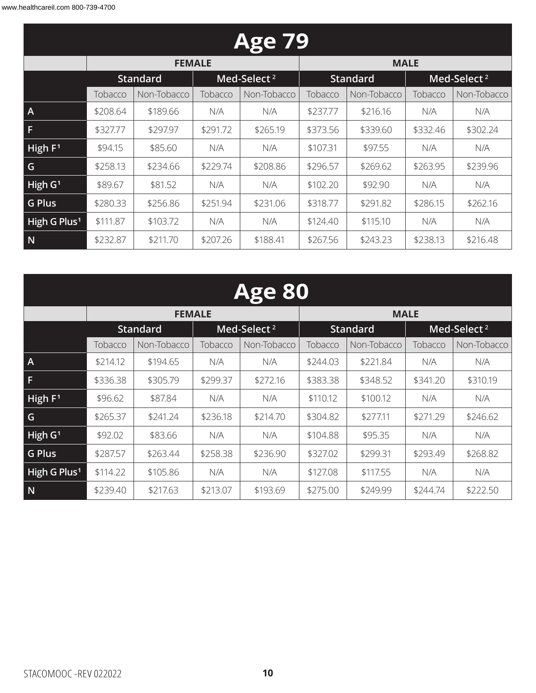| <b>Age 79</b>            |          |                        |          |                         |                                            |             |          |             |  |  |
|--------------------------|----------|------------------------|----------|-------------------------|--------------------------------------------|-------------|----------|-------------|--|--|
|                          |          | <b>FEMALE</b>          |          |                         |                                            | <b>MALE</b> |          |             |  |  |
|                          |          | <b>Standard</b>        |          | Med-Select <sup>2</sup> | Med-Select <sup>2</sup><br><b>Standard</b> |             |          |             |  |  |
|                          | Tobacco  | Non-Tobacco<br>Tobacco |          | Non-Tobacco             | Tobacco                                    | Non-Tobacco | Tobacco  | Non-Tobacco |  |  |
| $\overline{A}$           | \$208.64 | \$189.66               | N/A      | N/A                     | \$237.77                                   | \$216.16    | N/A      | N/A         |  |  |
| F                        | \$327.77 | \$297.97               | \$291.72 | \$265.19                | \$373.56                                   | \$339.60    | \$332.46 | \$302.24    |  |  |
| High $F1$                | \$94.15  | \$85.60                | N/A      | N/A                     | \$107.31                                   | \$97.55     | N/A      | N/A         |  |  |
| G                        | \$258.13 | \$234.66               | \$229.74 | \$208.86                | \$296.57                                   | \$269.62    | \$263.95 | \$239.96    |  |  |
| High $G1$                | \$89.67  | \$81.52                | N/A      | N/A                     | \$102.20                                   | \$92.90     | N/A      | N/A         |  |  |
| <b>G Plus</b>            | \$280.33 | \$256.86               | \$251.94 | \$231.06                | \$318.77                                   | \$291.82    | \$286.15 | \$262.16    |  |  |
| High G Plus <sup>1</sup> | \$111.87 | \$103.72               | N/A      | N/A                     | \$124.40                                   | \$115.10    | N/A      | N/A         |  |  |
| N                        | \$232.87 | \$211.70               | \$207.26 | \$188.41                | \$267.56                                   | \$243.23    | \$238.13 | \$216.48    |  |  |

| <b>Age 80</b>            |          |                 |          |                         |                                            |             |          |             |  |  |
|--------------------------|----------|-----------------|----------|-------------------------|--------------------------------------------|-------------|----------|-------------|--|--|
|                          |          | <b>FEMALE</b>   |          |                         |                                            | <b>MALE</b> |          |             |  |  |
|                          |          | <b>Standard</b> |          | Med-Select <sup>2</sup> | <b>Standard</b><br>Med-Select <sup>2</sup> |             |          |             |  |  |
|                          | Tobacco  | Non-Tobacco     | Tobacco  | Non-Tobacco             | Tobacco                                    | Non-Tobacco | Tobacco  | Non-Tobacco |  |  |
| $\mathsf{A}$             | \$214.12 | \$194.65        | N/A      | N/A                     | \$244.03                                   | \$221.84    | N/A      | N/A         |  |  |
| F.                       | \$336.38 | \$305.79        | \$299.37 | \$272.16                | \$383.38                                   | \$348.52    | \$341.20 | \$310.19    |  |  |
| High $F1$                | \$96.62  | \$87.84         | N/A      | N/A                     | \$110.12                                   | \$100.12    | N/A      | N/A         |  |  |
| G                        | \$265.37 | \$241.24        | \$236.18 | \$214.70                | \$304.82                                   | \$277.11    | \$271.29 | \$246.62    |  |  |
| High G <sup>1</sup>      | \$92.02  | \$83.66         | N/A      | N/A                     | \$104.88                                   | \$95.35     | N/A      | N/A         |  |  |
| <b>G Plus</b>            | \$287.57 | \$263.44        | \$258.38 | \$236.90                | \$327.02                                   | \$299.31    | \$293.49 | \$268.82    |  |  |
| High G Plus <sup>1</sup> | \$114.22 | \$105.86        | N/A      | N/A                     | \$127.08                                   | \$117.55    | N/A      | N/A         |  |  |
| N                        | \$239.40 | \$217.63        | \$213.07 | \$193.69                | \$275.00                                   | \$249.99    | \$244.74 | \$222.50    |  |  |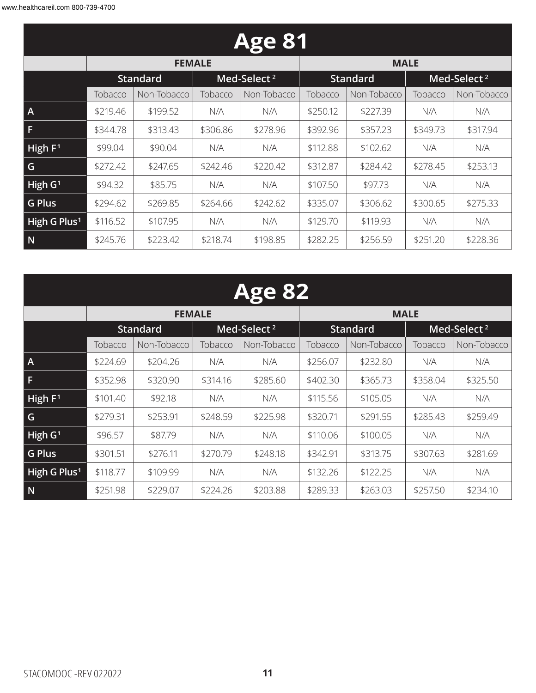| <b>Age 81</b>            |          |                 |          |                         |          |                 |          |                         |  |  |
|--------------------------|----------|-----------------|----------|-------------------------|----------|-----------------|----------|-------------------------|--|--|
|                          |          | <b>FEMALE</b>   |          |                         |          | <b>MALE</b>     |          |                         |  |  |
|                          |          | <b>Standard</b> |          | Med-Select <sup>2</sup> |          | <b>Standard</b> |          | Med-Select <sup>2</sup> |  |  |
|                          | Tobacco  | Non-Tobacco     | Tobacco  | Non-Tobacco             | Tobacco  | Non-Tobacco     | Tobacco  | Non-Tobacco             |  |  |
| $\mathsf{A}$             | \$219.46 | \$199.52        | N/A      | N/A                     | \$250.12 | \$227.39        | N/A      | N/A                     |  |  |
| F                        | \$344.78 | \$313.43        | \$306.86 | \$278.96                | \$392.96 | \$357.23        | \$349.73 | \$317.94                |  |  |
| High $F1$                | \$99.04  | \$90.04         | N/A      | N/A                     | \$112.88 | \$102.62        | N/A      | N/A                     |  |  |
| G                        | \$272.42 | \$247.65        | \$242.46 | \$220.42                | \$312.87 | \$284.42        | \$278.45 | \$253.13                |  |  |
| High $G1$                | \$94.32  | \$85.75         | N/A      | N/A                     | \$107.50 | \$97.73         | N/A      | N/A                     |  |  |
| <b>G Plus</b>            | \$294.62 | \$269.85        | \$264.66 | \$242.62                | \$335.07 | \$306.62        | \$300.65 | \$275.33                |  |  |
| High G Plus <sup>1</sup> | \$116.52 | \$107.95        | N/A      | N/A                     | \$129.70 | \$119.93        | N/A      | N/A                     |  |  |
| N                        | \$245.76 | \$223.42        | \$218.74 | \$198.85                | \$282.25 | \$256.59        | \$251.20 | \$228.36                |  |  |

| <b>Age 82</b>            |          |                 |          |                         |          |                 |          |                         |  |  |
|--------------------------|----------|-----------------|----------|-------------------------|----------|-----------------|----------|-------------------------|--|--|
|                          |          | <b>FEMALE</b>   |          |                         |          | <b>MALE</b>     |          |                         |  |  |
|                          |          | <b>Standard</b> |          | Med-Select <sup>2</sup> |          | <b>Standard</b> |          | Med-Select <sup>2</sup> |  |  |
|                          | Tobacco  | Non-Tobacco     | Tobacco  | Non-Tobacco             | Tobacco  | Non-Tobacco     | Tobacco  | Non-Tobacco             |  |  |
| $\overline{A}$           | \$224.69 | \$204.26        | N/A      | N/A                     | \$256.07 | \$232.80        | N/A      | N/A                     |  |  |
| F                        | \$352.98 | \$320.90        | \$314.16 | \$285.60                | \$402.30 | \$365.73        | \$358.04 | \$325.50                |  |  |
| High F <sup>1</sup>      | \$101.40 | \$92.18         | N/A      | N/A                     | \$115.56 | \$105.05        | N/A      | N/A                     |  |  |
| G                        | \$279.31 | \$253.91        | \$248.59 | \$225.98                | \$320.71 | \$291.55        | \$285.43 | \$259.49                |  |  |
| High G <sup>1</sup>      | \$96.57  | \$87.79         | N/A      | N/A                     | \$110.06 | \$100.05        | N/A      | N/A                     |  |  |
| <b>G Plus</b>            | \$301.51 | \$276.11        | \$270.79 | \$248.18                | \$342.91 | \$313.75        | \$307.63 | \$281.69                |  |  |
| High G Plus <sup>1</sup> | \$118.77 | \$109.99        | N/A      | N/A                     | \$132.26 | \$122.25        | N/A      | N/A                     |  |  |
| N                        | \$251.98 | \$229.07        | \$224.26 | \$203.88                | \$289.33 | \$263.03        | \$257.50 | \$234.10                |  |  |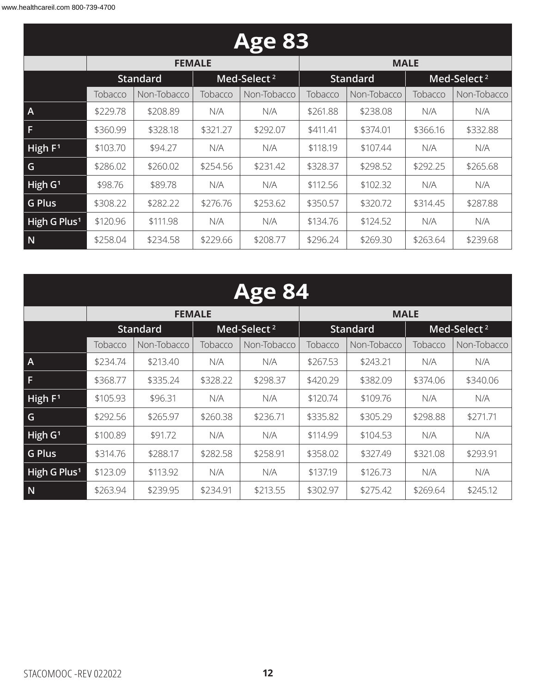| <b>Age 83</b>            |          |                        |          |                         |          |                 |          |                         |  |  |
|--------------------------|----------|------------------------|----------|-------------------------|----------|-----------------|----------|-------------------------|--|--|
|                          |          | <b>FEMALE</b>          |          |                         |          | <b>MALE</b>     |          |                         |  |  |
|                          |          | <b>Standard</b>        |          | Med-Select <sup>2</sup> |          | <b>Standard</b> |          | Med-Select <sup>2</sup> |  |  |
|                          | Tobacco  | Non-Tobacco<br>Tobacco |          | Non-Tobacco             | Tobacco  | Non-Tobacco     | Tobacco  | Non-Tobacco             |  |  |
| $\mathsf{A}$             | \$229.78 | \$208.89               | N/A      | N/A                     | \$261.88 | \$238.08        | N/A      | N/A                     |  |  |
| F                        | \$360.99 | \$328.18               | \$321.27 | \$292.07                | \$411.41 | \$374.01        | \$366.16 | \$332.88                |  |  |
| High $F1$                | \$103.70 | \$94.27                | N/A      | N/A                     | \$118.19 | \$107.44        | N/A      | N/A                     |  |  |
| G                        | \$286.02 | \$260.02               | \$254.56 | \$231.42                | \$328.37 | \$298.52        | \$292.25 | \$265.68                |  |  |
| High $G1$                | \$98.76  | \$89.78                | N/A      | N/A                     | \$112.56 | \$102.32        | N/A      | N/A                     |  |  |
| <b>G Plus</b>            | \$308.22 | \$282.22               | \$276.76 | \$253.62                | \$350.57 | \$320.72        | \$314.45 | \$287.88                |  |  |
| High G Plus <sup>1</sup> | \$120.96 | \$111.98               | N/A      | N/A                     | \$134.76 | \$124.52        | N/A      | N/A                     |  |  |
| N                        | \$258.04 | \$234.58               | \$229.66 | \$208.77                | \$296.24 | \$269.30        | \$263.64 | \$239.68                |  |  |

| <b>Age 84</b>            |          |                 |          |                         |                                            |             |          |             |  |  |
|--------------------------|----------|-----------------|----------|-------------------------|--------------------------------------------|-------------|----------|-------------|--|--|
|                          |          | <b>FEMALE</b>   |          |                         |                                            | <b>MALE</b> |          |             |  |  |
|                          |          | <b>Standard</b> |          | Med-Select <sup>2</sup> | Med-Select <sup>2</sup><br><b>Standard</b> |             |          |             |  |  |
|                          | Tobacco  | Non-Tobacco     |          | Non-Tobacco             | Tobacco                                    | Non-Tobacco | Tobacco  | Non-Tobacco |  |  |
| $\overline{A}$           | \$234.74 | \$213.40        | N/A      | N/A                     | \$267.53                                   | \$243.21    | N/A      | N/A         |  |  |
| F.                       | \$368.77 | \$335.24        | \$328.22 | \$298.37                | \$420.29                                   | \$382.09    | \$374.06 | \$340.06    |  |  |
| High $F1$                | \$105.93 | \$96.31         | N/A      | N/A                     | \$120.74                                   | \$109.76    | N/A      | N/A         |  |  |
| G                        | \$292.56 | \$265.97        | \$260.38 | \$236.71                | \$335.82                                   | \$305.29    | \$298.88 | \$271.71    |  |  |
| High $G1$                | \$100.89 | \$91.72         | N/A      | N/A                     | \$114.99                                   | \$104.53    | N/A      | N/A         |  |  |
| <b>G Plus</b>            | \$314.76 | \$288.17        | \$282.58 | \$258.91                | \$358.02                                   | \$327.49    | \$321.08 | \$293.91    |  |  |
| High G Plus <sup>1</sup> | \$123.09 | \$113.92        | N/A      | N/A                     | \$137.19                                   | \$126.73    | N/A      | N/A         |  |  |
| N                        | \$263.94 | \$239.95        | \$234.91 | \$213.55                | \$302.97                                   | \$275.42    | \$269.64 | \$245.12    |  |  |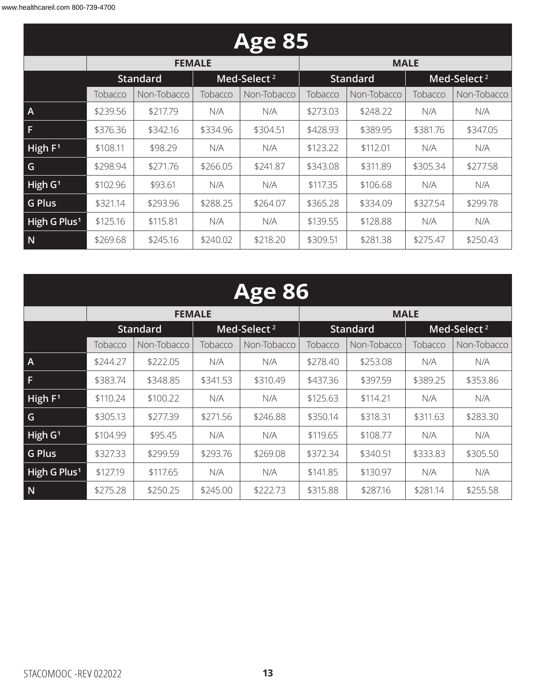| <b>Age 85</b>            |          |                 |          |                         |                                            |             |          |             |  |  |
|--------------------------|----------|-----------------|----------|-------------------------|--------------------------------------------|-------------|----------|-------------|--|--|
|                          |          | <b>FEMALE</b>   |          |                         |                                            | <b>MALE</b> |          |             |  |  |
|                          |          | <b>Standard</b> |          | Med-Select <sup>2</sup> | Med-Select <sup>2</sup><br><b>Standard</b> |             |          |             |  |  |
|                          | Tobacco  | Non-Tobacco     |          | Non-Tobacco             | Tobacco                                    | Non-Tobacco | Tobacco  | Non-Tobacco |  |  |
| $\overline{A}$           | \$239.56 | \$217.79        | N/A      | N/A                     | \$273.03                                   | \$248.22    | N/A      | N/A         |  |  |
| F                        | \$376.36 | \$342.16        | \$334.96 | \$304.51                | \$428.93                                   | \$389.95    | \$381.76 | \$347.05    |  |  |
| High $F1$                | \$108.11 | \$98.29         | N/A      | N/A                     | \$123.22                                   | \$112.01    | N/A      | N/A         |  |  |
| G                        | \$298.94 | \$271.76        | \$266.05 | \$241.87                | \$343.08                                   | \$311.89    | \$305.34 | \$277.58    |  |  |
| High $G1$                | \$102.96 | \$93.61         | N/A      | N/A                     | \$117.35                                   | \$106.68    | N/A      | N/A         |  |  |
| <b>G Plus</b>            | \$321.14 | \$293.96        | \$288.25 | \$264.07                | \$365.28                                   | \$334.09    | \$327.54 | \$299.78    |  |  |
| High G Plus <sup>1</sup> | \$125.16 | \$115.81        | N/A      | N/A                     | \$139.55                                   | \$128.88    | N/A      | N/A         |  |  |
| N                        | \$269.68 | \$245.16        | \$240.02 | \$218.20                | \$309.51                                   | \$281.38    | \$275.47 | \$250.43    |  |  |

|                          | <b>Age 86</b> |                 |          |                         |                                            |             |          |             |  |  |  |
|--------------------------|---------------|-----------------|----------|-------------------------|--------------------------------------------|-------------|----------|-------------|--|--|--|
|                          |               | <b>FEMALE</b>   |          |                         |                                            | <b>MALE</b> |          |             |  |  |  |
|                          |               | <b>Standard</b> |          | Med-Select <sup>2</sup> | <b>Standard</b><br>Med-Select <sup>2</sup> |             |          |             |  |  |  |
|                          | Tobacco       | Non-Tobacco     |          | Non-Tobacco             | Tobacco                                    | Non-Tobacco | Tobacco  | Non-Tobacco |  |  |  |
| $\overline{A}$           | \$244.27      | \$222.05        | N/A      | N/A                     | \$278.40                                   | \$253.08    | N/A      | N/A         |  |  |  |
| F                        | \$383.74      | \$348.85        | \$341.53 | \$310.49                | \$437.36                                   | \$397.59    | \$389.25 | \$353.86    |  |  |  |
| High $F1$                | \$110.24      | \$100.22        | N/A      | N/A                     | \$125.63                                   | \$114.21    | N/A      | N/A         |  |  |  |
| G                        | \$305.13      | \$277.39        | \$271.56 | \$246.88                | \$350.14                                   | \$318.31    | \$311.63 | \$283.30    |  |  |  |
| High $G1$                | \$104.99      | \$95.45         | N/A      | N/A                     | \$119.65                                   | \$108.77    | N/A      | N/A         |  |  |  |
| <b>G Plus</b>            | \$327.33      | \$299.59        | \$293.76 | \$269.08                | \$372.34                                   | \$340.51    | \$333.83 | \$305.50    |  |  |  |
| High G Plus <sup>1</sup> | \$127.19      | \$117.65        | N/A      | N/A                     | \$141.85                                   | \$130.97    | N/A      | N/A         |  |  |  |
| N                        | \$275.28      | \$250.25        | \$245.00 | \$222.73                | \$315.88                                   | \$287.16    | \$281.14 | \$255.58    |  |  |  |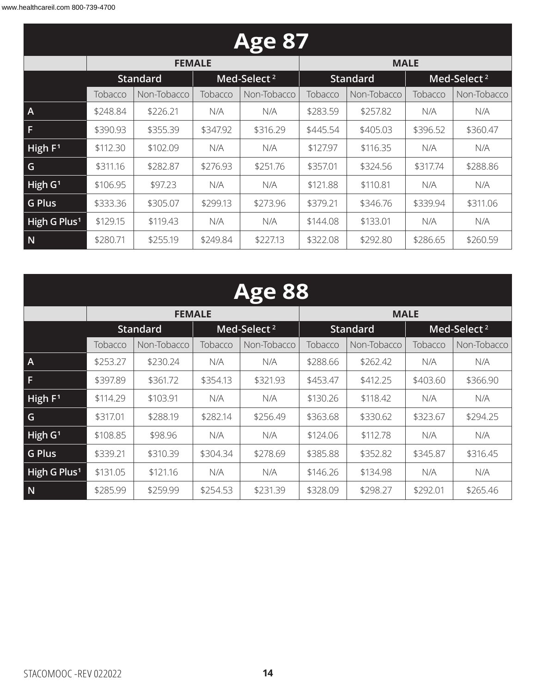| <b>Age 87</b>            |          |                 |          |                         |                                            |             |          |             |  |  |
|--------------------------|----------|-----------------|----------|-------------------------|--------------------------------------------|-------------|----------|-------------|--|--|
|                          |          | <b>FEMALE</b>   |          |                         |                                            | <b>MALE</b> |          |             |  |  |
|                          |          | <b>Standard</b> |          | Med-Select <sup>2</sup> | Med-Select <sup>2</sup><br><b>Standard</b> |             |          |             |  |  |
|                          | Tobacco  | Non-Tobacco     | Tobacco  | Non-Tobacco             | Tobacco                                    | Non-Tobacco | Tobacco  | Non-Tobacco |  |  |
| $\mathsf{A}$             | \$248.84 | \$226.21        | N/A      | N/A                     | \$283.59                                   | \$257.82    | N/A      | N/A         |  |  |
| F                        | \$390.93 | \$355.39        | \$347.92 | \$316.29                | \$445.54                                   | \$405.03    | \$396.52 | \$360.47    |  |  |
| High $F1$                | \$112.30 | \$102.09        | N/A      | N/A                     | \$127.97                                   | \$116.35    | N/A      | N/A         |  |  |
| G                        | \$311.16 | \$282.87        | \$276.93 | \$251.76                | \$357.01                                   | \$324.56    | \$317.74 | \$288.86    |  |  |
| High $G1$                | \$106.95 | \$97.23         | N/A      | N/A                     | \$121.88                                   | \$110.81    | N/A      | N/A         |  |  |
| <b>G Plus</b>            | \$333.36 | \$305.07        | \$299.13 | \$273.96                | \$379.21                                   | \$346.76    | \$339.94 | \$311.06    |  |  |
| High G Plus <sup>1</sup> | \$129.15 | \$119.43        | N/A      | N/A                     | \$144.08                                   | \$133.01    | N/A      | N/A         |  |  |
| N                        | \$280.71 | \$255.19        | \$249.84 | \$227.13                | \$322.08                                   | \$292.80    | \$286.65 | \$260.59    |  |  |

| <b>Age 88</b>            |          |                 |          |                         |          |                 |          |                         |  |  |
|--------------------------|----------|-----------------|----------|-------------------------|----------|-----------------|----------|-------------------------|--|--|
|                          |          | <b>FEMALE</b>   |          |                         |          | <b>MALE</b>     |          |                         |  |  |
|                          |          | <b>Standard</b> |          | Med-Select <sup>2</sup> |          | <b>Standard</b> |          | Med-Select <sup>2</sup> |  |  |
|                          | Tobacco  | Non-Tobacco     | Tobacco  | Non-Tobacco             | Tobacco  | Non-Tobacco     | Tobacco  | Non-Tobacco             |  |  |
| $\overline{A}$           | \$253.27 | \$230.24        | N/A      | N/A                     | \$288.66 | \$262.42        | N/A      | N/A                     |  |  |
| F                        | \$397.89 | \$361.72        | \$354.13 | \$321.93                | \$453.47 | \$412.25        | \$403.60 | \$366.90                |  |  |
| High $F1$                | \$114.29 | \$103.91        | N/A      | N/A                     | \$130.26 | \$118.42        | N/A      | N/A                     |  |  |
| G                        | \$317.01 | \$288.19        | \$282.14 | \$256.49                | \$363.68 | \$330.62        | \$323.67 | \$294.25                |  |  |
| High G <sup>1</sup>      | \$108.85 | \$98.96         | N/A      | N/A                     | \$124.06 | \$112.78        | N/A      | N/A                     |  |  |
| <b>G Plus</b>            | \$339.21 | \$310.39        | \$304.34 | \$278.69                | \$385.88 | \$352.82        | \$345.87 | \$316.45                |  |  |
| High G Plus <sup>1</sup> | \$131.05 | \$121.16        | N/A      | N/A                     | \$146.26 | \$134.98        | N/A      | N/A                     |  |  |
| N                        | \$285.99 | \$259.99        | \$254.53 | \$231.39                | \$328.09 | \$298.27        | \$292.01 | \$265.46                |  |  |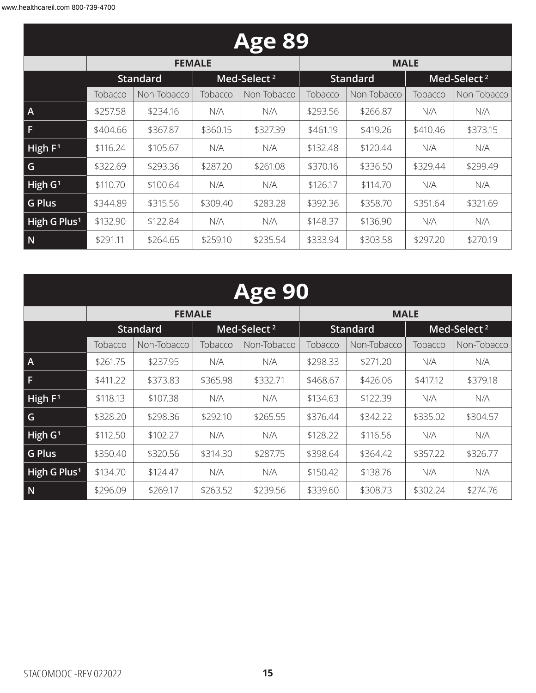| <b>Age 89</b>            |          |                 |          |                         |          |                 |          |                         |  |  |
|--------------------------|----------|-----------------|----------|-------------------------|----------|-----------------|----------|-------------------------|--|--|
|                          |          | <b>FEMALE</b>   |          |                         |          | <b>MALE</b>     |          |                         |  |  |
|                          |          | <b>Standard</b> |          | Med-Select <sup>2</sup> |          | <b>Standard</b> |          | Med-Select <sup>2</sup> |  |  |
|                          | Tobacco  | Non-Tobacco     | Tobacco  | Non-Tobacco             | Tobacco  | Non-Tobacco     | Tobacco  | Non-Tobacco             |  |  |
| $\overline{A}$           | \$257.58 | \$234.16        | N/A      | N/A                     | \$293.56 | \$266.87        | N/A      | N/A                     |  |  |
| F                        | \$404.66 | \$367.87        | \$360.15 | \$327.39                | \$461.19 | \$419.26        | \$410.46 | \$373.15                |  |  |
| High $F1$                | \$116.24 | \$105.67        | N/A      | N/A                     | \$132.48 | \$120.44        | N/A      | N/A                     |  |  |
| G                        | \$322.69 | \$293.36        | \$287.20 | \$261.08                | \$370.16 | \$336.50        | \$329.44 | \$299.49                |  |  |
| High $G1$                | \$110.70 | \$100.64        | N/A      | N/A                     | \$126.17 | \$114.70        | N/A      | N/A                     |  |  |
| <b>G Plus</b>            | \$344.89 | \$315.56        | \$309.40 | \$283.28                | \$392.36 | \$358.70        | \$351.64 | \$321.69                |  |  |
| High G Plus <sup>1</sup> | \$132.90 | \$122.84        | N/A      | N/A                     | \$148.37 | \$136.90        | N/A      | N/A                     |  |  |
| N                        | \$291.11 | \$264.65        | \$259.10 | \$235.54                | \$333.94 | \$303.58        | \$297.20 | \$270.19                |  |  |

| <b>Age 90</b>            |          |                 |          |                         |          |                 |          |                         |  |  |
|--------------------------|----------|-----------------|----------|-------------------------|----------|-----------------|----------|-------------------------|--|--|
|                          |          | <b>FEMALE</b>   |          |                         |          | <b>MALE</b>     |          |                         |  |  |
|                          |          | <b>Standard</b> |          | Med-Select <sup>2</sup> |          | <b>Standard</b> |          | Med-Select <sup>2</sup> |  |  |
|                          | Tobacco  | Non-Tobacco     | Tobacco  | Non-Tobacco             | Tobacco  | Non-Tobacco     | Tobacco  | Non-Tobacco             |  |  |
| $\overline{A}$           | \$261.75 | \$237.95        | N/A      | N/A                     | \$298.33 | \$271.20        | N/A      | N/A                     |  |  |
| F                        | \$411.22 | \$373.83        | \$365.98 | \$332.71                | \$468.67 | \$426.06        | \$417.12 | \$379.18                |  |  |
| High $F1$                | \$118.13 | \$107.38        | N/A      | N/A                     | \$134.63 | \$122.39        | N/A      | N/A                     |  |  |
| G                        | \$328.20 | \$298.36        | \$292.10 | \$265.55                | \$376.44 | \$342.22        | \$335.02 | \$304.57                |  |  |
| High G <sup>1</sup>      | \$112.50 | \$102.27        | N/A      | N/A                     | \$128.22 | \$116.56        | N/A      | N/A                     |  |  |
| <b>G Plus</b>            | \$350.40 | \$320.56        | \$314.30 | \$287.75                | \$398.64 | \$364.42        | \$357.22 | \$326.77                |  |  |
| High G Plus <sup>1</sup> | \$134.70 | \$124.47        | N/A      | N/A                     | \$150.42 | \$138.76        | N/A      | N/A                     |  |  |
| N                        | \$296.09 | \$269.17        | \$263.52 | \$239.56                | \$339.60 | \$308.73        | \$302.24 | \$274.76                |  |  |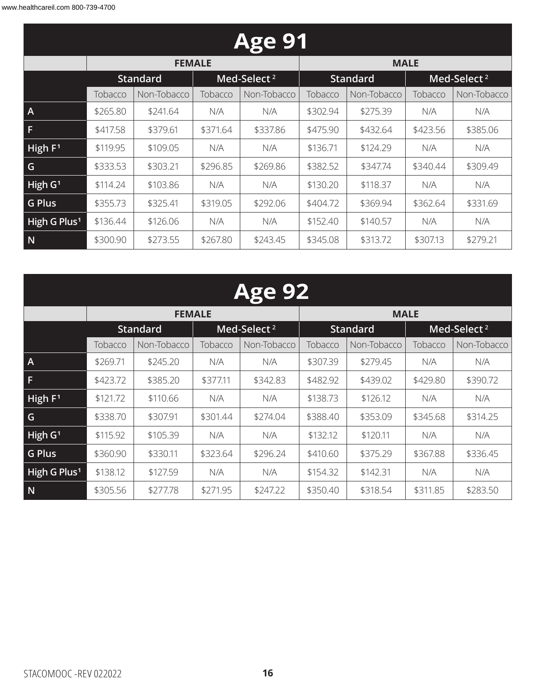| <b>Age 91</b>            |                                            |               |          |             |          |                 |          |                         |  |  |
|--------------------------|--------------------------------------------|---------------|----------|-------------|----------|-----------------|----------|-------------------------|--|--|
|                          |                                            | <b>FEMALE</b> |          |             |          | <b>MALE</b>     |          |                         |  |  |
|                          | Med-Select <sup>2</sup><br><b>Standard</b> |               |          |             |          | <b>Standard</b> |          | Med-Select <sup>2</sup> |  |  |
|                          | Tobacco                                    | Non-Tobacco   | Tobacco  | Non-Tobacco | Tobacco  | Non-Tobacco     | Tobacco  | Non-Tobacco             |  |  |
| $\overline{A}$           | \$265.80                                   | \$241.64      | N/A      | N/A         | \$302.94 | \$275.39        | N/A      | N/A                     |  |  |
| F                        | \$417.58                                   | \$379.61      | \$371.64 | \$337.86    | \$475.90 | \$432.64        | \$423.56 | \$385.06                |  |  |
| High $F1$                | \$119.95                                   | \$109.05      | N/A      | N/A         | \$136.71 | \$124.29        | N/A      | N/A                     |  |  |
| G                        | \$333.53                                   | \$303.21      | \$296.85 | \$269.86    | \$382.52 | \$347.74        | \$340.44 | \$309.49                |  |  |
| High $G1$                | \$114.24                                   | \$103.86      | N/A      | N/A         | \$130.20 | \$118.37        | N/A      | N/A                     |  |  |
| <b>G Plus</b>            | \$355.73                                   | \$325.41      | \$319.05 | \$292.06    | \$404.72 | \$369.94        | \$362.64 | \$331.69                |  |  |
| High G Plus <sup>1</sup> | \$136.44                                   | \$126.06      | N/A      | N/A         | \$152.40 | \$140.57        | N/A      | N/A                     |  |  |
| N                        | \$300.90                                   | \$273.55      | \$267.80 | \$243.45    | \$345.08 | \$313.72        | \$307.13 | \$279.21                |  |  |

# **Age 92**

|                          |          | <b>FEMALE</b>   |          |                         | <b>MALE</b> |                 |          |                         |
|--------------------------|----------|-----------------|----------|-------------------------|-------------|-----------------|----------|-------------------------|
|                          |          | <b>Standard</b> |          | Med-Select <sup>2</sup> |             | <b>Standard</b> |          | Med-Select <sup>2</sup> |
|                          | Tobacco  | Non-Tobacco     | Tobacco  | Non-Tobacco             | Tobacco     | Non-Tobacco     | Tobacco  | Non-Tobacco             |
| $\mathsf{A}$             | \$269.71 | \$245.20        | N/A      | N/A                     | \$307.39    | \$279.45        | N/A      | N/A                     |
| F                        | \$423.72 | \$385.20        | \$377.11 | \$342.83                | \$482.92    | \$439.02        | \$429.80 | \$390.72                |
| High $F1$                | \$121.72 | \$110.66        | N/A      | N/A                     | \$138.73    | \$126.12        | N/A      | N/A                     |
| G                        | \$338.70 | \$307.91        | \$301.44 | \$274.04                | \$388.40    | \$353.09        | \$345.68 | \$314.25                |
| High $G1$                | \$115.92 | \$105.39        | N/A      | N/A                     | \$132.12    | \$120.11        | N/A      | N/A                     |
| <b>G Plus</b>            | \$360.90 | \$330.11        | \$323.64 | \$296.24                | \$410.60    | \$375.29        | \$367.88 | \$336.45                |
| High G Plus <sup>1</sup> | \$138.12 | \$127.59        | N/A      | N/A                     | \$154.32    | \$142.31        | N/A      | N/A                     |
| N                        | \$305.56 | \$277.78        | \$271.95 | \$247.22                | \$350.40    | \$318.54        | \$311.85 | \$283.50                |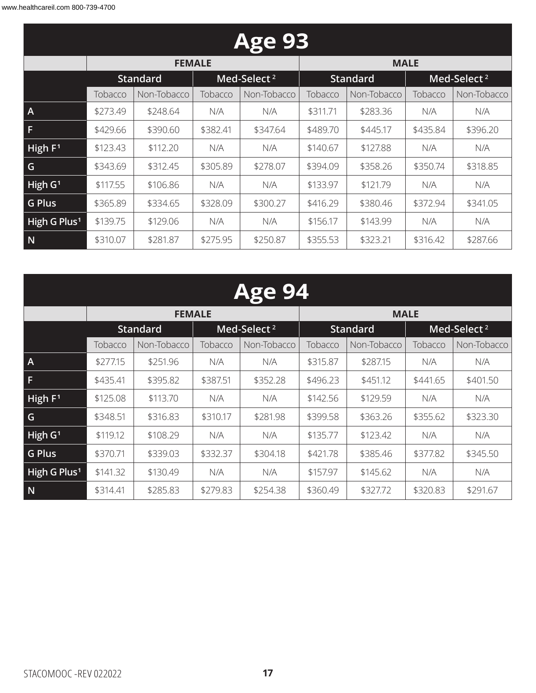| <b>Age 93</b>            |          |                 |          |                         |          |                 |          |                         |  |  |
|--------------------------|----------|-----------------|----------|-------------------------|----------|-----------------|----------|-------------------------|--|--|
|                          |          | <b>FEMALE</b>   |          |                         |          | <b>MALE</b>     |          |                         |  |  |
|                          |          | <b>Standard</b> |          | Med-Select <sup>2</sup> |          | <b>Standard</b> |          | Med-Select <sup>2</sup> |  |  |
|                          | Tobacco  | Non-Tobacco     | Tobacco  | Non-Tobacco             | Tobacco  | Non-Tobacco     | Tobacco  | Non-Tobacco             |  |  |
| $\mathsf{A}$             | \$273.49 | \$248.64        | N/A      | N/A                     | \$311.71 | \$283.36        | N/A      | N/A                     |  |  |
| F                        | \$429.66 | \$390.60        | \$382.41 | \$347.64                | \$489.70 | \$445.17        | \$435.84 | \$396.20                |  |  |
| High $F1$                | \$123.43 | \$112.20        | N/A      | N/A                     | \$140.67 | \$127.88        | N/A      | N/A                     |  |  |
| G                        | \$343.69 | \$312.45        | \$305.89 | \$278.07                | \$394.09 | \$358.26        | \$350.74 | \$318.85                |  |  |
| High $G1$                | \$117.55 | \$106.86        | N/A      | N/A                     | \$133.97 | \$121.79        | N/A      | N/A                     |  |  |
| <b>G Plus</b>            | \$365.89 | \$334.65        | \$328.09 | \$300.27                | \$416.29 | \$380.46        | \$372.94 | \$341.05                |  |  |
| High G Plus <sup>1</sup> | \$139.75 | \$129.06        | N/A      | N/A                     | \$156.17 | \$143.99        | N/A      | N/A                     |  |  |
| N                        | \$310.07 | \$281.87        | \$275.95 | \$250.87                | \$355.53 | \$323.21        | \$316.42 | \$287.66                |  |  |

| <b>Age 94</b>            |          |                 |          |                         |          |                 |          |                         |  |  |
|--------------------------|----------|-----------------|----------|-------------------------|----------|-----------------|----------|-------------------------|--|--|
|                          |          | <b>FEMALE</b>   |          |                         |          | <b>MALE</b>     |          |                         |  |  |
|                          |          | <b>Standard</b> |          | Med-Select <sup>2</sup> |          | <b>Standard</b> |          | Med-Select <sup>2</sup> |  |  |
|                          | Tobacco  | Non-Tobacco     | Tobacco  | Non-Tobacco             | Tobacco  | Non-Tobacco     | Tobacco  | Non-Tobacco             |  |  |
| A                        | \$277.15 | \$251.96        | N/A      | N/A                     | \$315.87 | \$287.15        | N/A      | N/A                     |  |  |
| F                        | \$435.41 | \$395.82        | \$387.51 | \$352.28                | \$496.23 | \$451.12        | \$441.65 | \$401.50                |  |  |
| High F <sup>1</sup>      | \$125.08 | \$113.70        | N/A      | N/A                     | \$142.56 | \$129.59        | N/A      | N/A                     |  |  |
| G                        | \$348.51 | \$316.83        | \$310.17 | \$281.98                | \$399.58 | \$363.26        | \$355.62 | \$323.30                |  |  |
| High G <sup>1</sup>      | \$119.12 | \$108.29        | N/A      | N/A                     | \$135.77 | \$123.42        | N/A      | N/A                     |  |  |
| <b>G Plus</b>            | \$370.71 | \$339.03        | \$332.37 | \$304.18                | \$421.78 | \$385.46        | \$377.82 | \$345.50                |  |  |
| High G Plus <sup>1</sup> | \$141.32 | \$130.49        | N/A      | N/A                     | \$157.97 | \$145.62        | N/A      | N/A                     |  |  |
| N                        | \$314.41 | \$285.83        | \$279.83 | \$254.38                | \$360.49 | \$327.72        | \$320.83 | \$291.67                |  |  |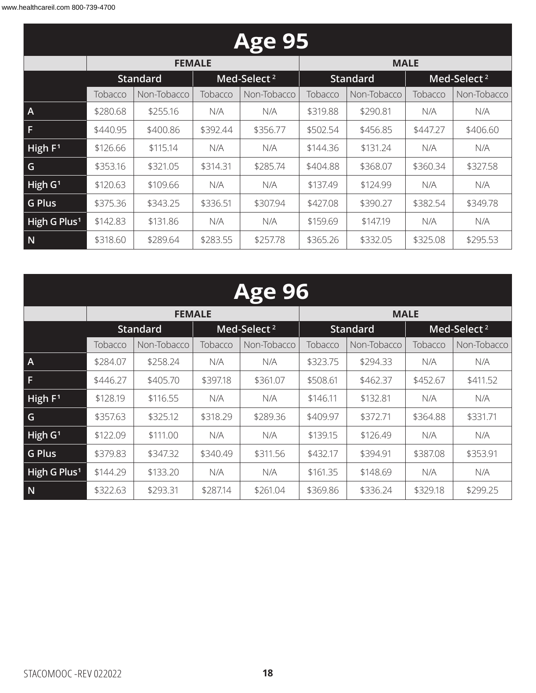| <b>Age 95</b>            |          |                 |          |                         |          |                 |          |                         |  |  |
|--------------------------|----------|-----------------|----------|-------------------------|----------|-----------------|----------|-------------------------|--|--|
|                          |          | <b>FEMALE</b>   |          |                         |          | <b>MALE</b>     |          |                         |  |  |
|                          |          | <b>Standard</b> |          | Med-Select <sup>2</sup> |          | <b>Standard</b> |          | Med-Select <sup>2</sup> |  |  |
|                          | Tobacco  | Non-Tobacco     | Tobacco  | Non-Tobacco             | Tobacco  | Non-Tobacco     | Tobacco  | Non-Tobacco             |  |  |
| $\overline{A}$           | \$280.68 | \$255.16        | N/A      | N/A                     | \$319.88 | \$290.81        | N/A      | N/A                     |  |  |
| F                        | \$440.95 | \$400.86        | \$392.44 | \$356.77                | \$502.54 | \$456.85        | \$447.27 | \$406.60                |  |  |
| High $F1$                | \$126.66 | \$115.14        | N/A      | N/A                     | \$144.36 | \$131.24        | N/A      | N/A                     |  |  |
| G                        | \$353.16 | \$321.05        | \$314.31 | \$285.74                | \$404.88 | \$368.07        | \$360.34 | \$327.58                |  |  |
| High $G1$                | \$120.63 | \$109.66        | N/A      | N/A                     | \$137.49 | \$124.99        | N/A      | N/A                     |  |  |
| <b>G Plus</b>            | \$375.36 | \$343.25        | \$336.51 | \$307.94                | \$427.08 | \$390.27        | \$382.54 | \$349.78                |  |  |
| High G Plus <sup>1</sup> | \$142.83 | \$131.86        | N/A      | N/A                     | \$159.69 | \$147.19        | N/A      | N/A                     |  |  |
| N                        | \$318.60 | \$289.64        | \$283.55 | \$257.78                | \$365.26 | \$332.05        | \$325.08 | \$295.53                |  |  |

| <b>Age 96</b>            |          |                 |          |                         |             |                 |                         |             |  |  |
|--------------------------|----------|-----------------|----------|-------------------------|-------------|-----------------|-------------------------|-------------|--|--|
|                          |          | <b>FEMALE</b>   |          |                         | <b>MALE</b> |                 |                         |             |  |  |
|                          |          | <b>Standard</b> |          | Med-Select <sup>2</sup> |             | <b>Standard</b> | Med-Select <sup>2</sup> |             |  |  |
|                          | Tobacco  | Non-Tobacco     | Tobacco  | Non-Tobacco             | Tobacco     | Non-Tobacco     | Tobacco                 | Non-Tobacco |  |  |
| A                        | \$284.07 | \$258.24        | N/A      | N/A                     | \$323.75    | \$294.33        | N/A                     | N/A         |  |  |
| F                        | \$446.27 | \$405.70        | \$397.18 | \$361.07                | \$508.61    | \$462.37        | \$452.67                | \$411.52    |  |  |
| High F <sup>1</sup>      | \$128.19 | \$116.55        | N/A      | N/A                     | \$146.11    | \$132.81        | N/A                     | N/A         |  |  |
| G                        | \$357.63 | \$325.12        | \$318.29 | \$289.36                | \$409.97    | \$372.71        | \$364.88                | \$331.71    |  |  |
| High G <sup>1</sup>      | \$122.09 | \$111.00        | N/A      | N/A                     | \$139.15    | \$126.49        | N/A                     | N/A         |  |  |
| <b>G Plus</b>            | \$379.83 | \$347.32        | \$340.49 | \$311.56                | \$432.17    | \$394.91        | \$387.08                | \$353.91    |  |  |
| High G Plus <sup>1</sup> | \$144.29 | \$133.20        | N/A      | N/A                     | \$161.35    | \$148.69        | N/A                     | N/A         |  |  |

**N** \$322.63 \$293.31 \$287.14 \$261.04 \$369.86 \$336.24 \$329.18 \$299.25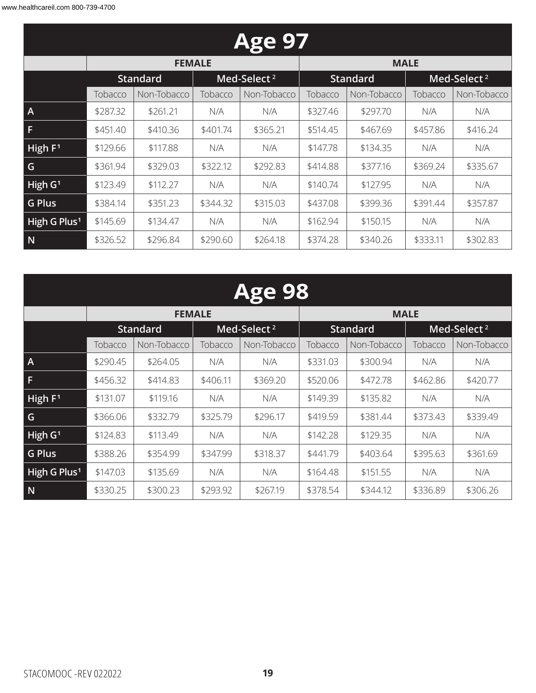| <b>Age 97</b>            |                                            |               |          |             |          |                 |          |                         |  |  |
|--------------------------|--------------------------------------------|---------------|----------|-------------|----------|-----------------|----------|-------------------------|--|--|
|                          |                                            | <b>FEMALE</b> |          |             |          | <b>MALE</b>     |          |                         |  |  |
|                          | Med-Select <sup>2</sup><br><b>Standard</b> |               |          |             |          | <b>Standard</b> |          | Med-Select <sup>2</sup> |  |  |
|                          | Tobacco                                    | Non-Tobacco   | Tobacco  | Non-Tobacco | Tobacco  | Non-Tobacco     | Tobacco  | Non-Tobacco             |  |  |
| $\overline{A}$           | \$287.32                                   | \$261.21      | N/A      | N/A         | \$327.46 | \$297.70        | N/A      | N/A                     |  |  |
| F                        | \$451.40                                   | \$410.36      | \$401.74 | \$365.21    | \$514.45 | \$467.69        | \$457.86 | \$416.24                |  |  |
| High $F1$                | \$129.66                                   | \$117.88      | N/A      | N/A         | \$147.78 | \$134.35        | N/A      | N/A                     |  |  |
| G                        | \$361.94                                   | \$329.03      | \$322.12 | \$292.83    | \$414.88 | \$377.16        | \$369.24 | \$335.67                |  |  |
| High $G1$                | \$123.49                                   | \$112.27      | N/A      | N/A         | \$140.74 | \$127.95        | N/A      | N/A                     |  |  |
| <b>G Plus</b>            | \$384.14                                   | \$351.23      | \$344.32 | \$315.03    | \$437.08 | \$399.36        | \$391.44 | \$357.87                |  |  |
| High G Plus <sup>1</sup> | \$145.69                                   | \$134.47      | N/A      | N/A         | \$162.94 | \$150.15        | N/A      | N/A                     |  |  |
| N                        | \$326.52                                   | \$296.84      | \$290.60 | \$264.18    | \$374.28 | \$340.26        | \$333.11 | \$302.83                |  |  |

| <b>Age 98</b>            |          |                 |          |                         |          |                 |          |                         |  |  |  |
|--------------------------|----------|-----------------|----------|-------------------------|----------|-----------------|----------|-------------------------|--|--|--|
|                          |          | <b>FEMALE</b>   |          |                         |          | <b>MALE</b>     |          |                         |  |  |  |
|                          |          | <b>Standard</b> |          | Med-Select <sup>2</sup> |          | <b>Standard</b> |          | Med-Select <sup>2</sup> |  |  |  |
|                          | Tobacco  | Non-Tobacco     | Tobacco  | Non-Tobacco             | Tobacco  | Non-Tobacco     | Tobacco  | Non-Tobacco             |  |  |  |
| A                        | \$290.45 | \$264.05        | N/A      | N/A                     | \$331.03 | \$300.94        | N/A      | N/A                     |  |  |  |
| F                        | \$456.32 | \$414.83        | \$406.11 | \$369.20                | \$520.06 | \$472.78        | \$462.86 | \$420.77                |  |  |  |
| High F <sup>1</sup>      | \$131.07 | \$119.16        | N/A      | N/A                     | \$149.39 | \$135.82        | N/A      | N/A                     |  |  |  |
| G                        | \$366.06 | \$332.79        | \$325.79 | \$296.17                | \$419.59 | \$381.44        | \$373.43 | \$339.49                |  |  |  |
| High G <sup>1</sup>      | \$124.83 | \$113.49        | N/A      | N/A                     | \$142.28 | \$129.35        | N/A      | N/A                     |  |  |  |
| <b>G Plus</b>            | \$388.26 | \$354.99        | \$347.99 | \$318.37                | \$441.79 | \$403.64        | \$395.63 | \$361.69                |  |  |  |
| High G Plus <sup>1</sup> | \$147.03 | \$135.69        | N/A      | N/A                     | \$164.48 | \$151.55        | N/A      | N/A                     |  |  |  |
| N                        | \$330.25 | \$300.23        | \$293.92 | \$267.19                | \$378.54 | \$344.12        | \$336.89 | \$306.26                |  |  |  |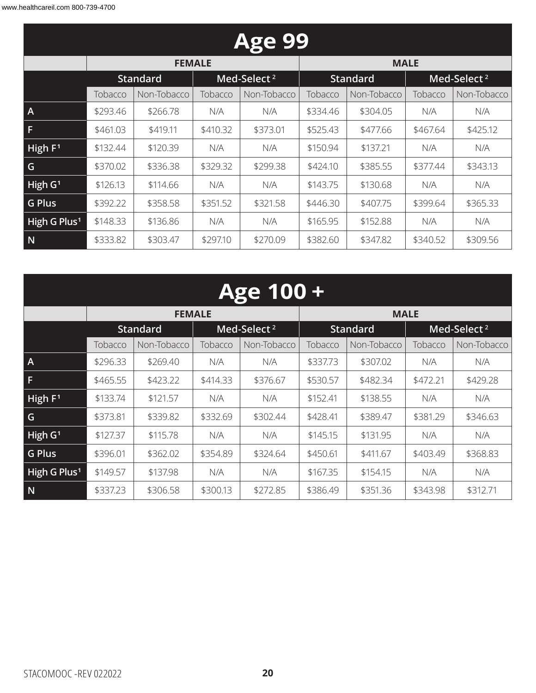| <b>Age 99</b>            |          |                 |          |                         |          |                 |          |                         |  |  |
|--------------------------|----------|-----------------|----------|-------------------------|----------|-----------------|----------|-------------------------|--|--|
|                          |          | <b>FEMALE</b>   |          |                         |          | <b>MALE</b>     |          |                         |  |  |
|                          |          | <b>Standard</b> |          | Med-Select <sup>2</sup> |          | <b>Standard</b> |          | Med-Select <sup>2</sup> |  |  |
|                          | Tobacco  | Non-Tobacco     | Tobacco  | Non-Tobacco             | Tobacco  | Non-Tobacco     | Tobacco  | Non-Tobacco             |  |  |
| $\mathsf{A}$             | \$293.46 | \$266.78        | N/A      | N/A                     | \$334.46 | \$304.05        | N/A      | N/A                     |  |  |
| F                        | \$461.03 | \$419.11        | \$410.32 | \$373.01                | \$525.43 | \$477.66        | \$467.64 | \$425.12                |  |  |
| High $F1$                | \$132.44 | \$120.39        | N/A      | N/A                     | \$150.94 | \$137.21        | N/A      | N/A                     |  |  |
| G                        | \$370.02 | \$336.38        | \$329.32 | \$299.38                | \$424.10 | \$385.55        | \$377.44 | \$343.13                |  |  |
| High $G1$                | \$126.13 | \$114.66        | N/A      | N/A                     | \$143.75 | \$130.68        | N/A      | N/A                     |  |  |
| <b>G Plus</b>            | \$392.22 | \$358.58        | \$351.52 | \$321.58                | \$446.30 | \$407.75        | \$399.64 | \$365.33                |  |  |
| High G Plus <sup>1</sup> | \$148.33 | \$136.86        | N/A      | N/A                     | \$165.95 | \$152.88        | N/A      | N/A                     |  |  |
| N                        | \$333.82 | \$303.47        | \$297.10 | \$270.09                | \$382.60 | \$347.82        | \$340.52 | \$309.56                |  |  |

| <b>Age 100 +</b>         |          |                 |          |                         |                 |             |                         |             |
|--------------------------|----------|-----------------|----------|-------------------------|-----------------|-------------|-------------------------|-------------|
|                          |          | <b>FEMALE</b>   |          |                         |                 | <b>MALE</b> |                         |             |
|                          |          | <b>Standard</b> |          | Med-Select <sup>2</sup> | <b>Standard</b> |             | Med-Select <sup>2</sup> |             |
|                          | Tobacco  | Non-Tobacco     | Tobacco  | Non-Tobacco             | Tobacco         | Non-Tobacco | Tobacco                 | Non-Tobacco |
| $\overline{A}$           | \$296.33 | \$269.40        | N/A      | N/A                     | \$337.73        | \$307.02    | N/A                     | N/A         |
| F                        | \$465.55 | \$423.22        | \$414.33 | \$376.67                | \$530.57        | \$482.34    | \$472.21                | \$429.28    |
| High F <sup>1</sup>      | \$133.74 | \$121.57        | N/A      | N/A                     | \$152.41        | \$138.55    | N/A                     | N/A         |
| G                        | \$373.81 | \$339.82        | \$332.69 | \$302.44                | \$428.41        | \$389.47    | \$381.29                | \$346.63    |
| High G <sup>1</sup>      | \$127.37 | \$115.78        | N/A      | N/A                     | \$145.15        | \$131.95    | N/A                     | N/A         |
| <b>G Plus</b>            | \$396.01 | \$362.02        | \$354.89 | \$324.64                | \$450.61        | \$411.67    | \$403.49                | \$368.83    |
| High G Plus <sup>1</sup> | \$149.57 | \$137.98        | N/A      | N/A                     | \$167.35        | \$154.15    | N/A                     | N/A         |
| N                        | \$337.23 | \$306.58        | \$300.13 | \$272.85                | \$386.49        | \$351.36    | \$343.98                | \$312.71    |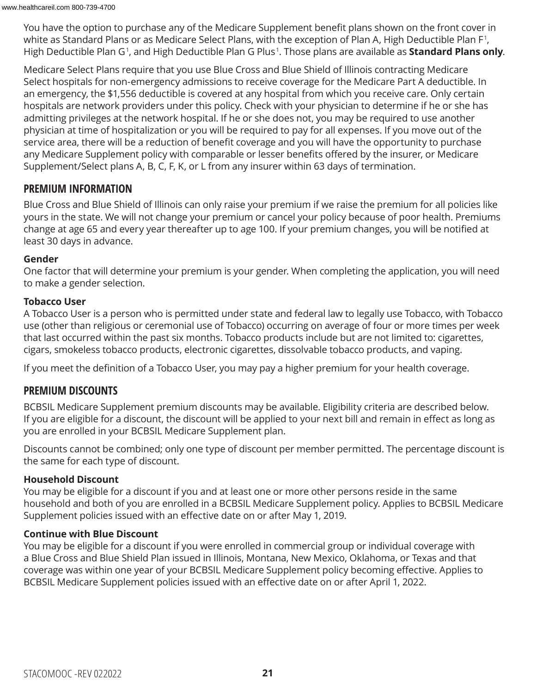You have the option to purchase any of the Medicare Supplement benefit plans shown on the front cover in white as Standard Plans or as Medicare Select Plans, with the exception of Plan A, High Deductible Plan F <sup>1</sup> , High Deductible Plan G<sup>1</sup>, and High Deductible Plan G Plus<sup>1</sup>. Those plans are available as **Standard Plans only**.

Medicare Select Plans require that you use Blue Cross and Blue Shield of Illinois contracting Medicare Select hospitals for non-emergency admissions to receive coverage for the Medicare Part A deductible. In an emergency, the \$1,556 deductible is covered at any hospital from which you receive care. Only certain hospitals are network providers under this policy. Check with your physician to determine if he or she has admitting privileges at the network hospital. If he or she does not, you may be required to use another physician at time of hospitalization or you will be required to pay for all expenses. If you move out of the service area, there will be a reduction of benefit coverage and you will have the opportunity to purchase any Medicare Supplement policy with comparable or lesser benefits offered by the insurer, or Medicare Supplement/Select plans A, B, C, F, K, or L from any insurer within 63 days of termination.

#### **PREMIUM INFORMATION**

Blue Cross and Blue Shield of Illinois can only raise your premium if we raise the premium for all policies like yours in the state. We will not change your premium or cancel your policy because of poor health. Premiums change at age 65 and every year thereafter up to age 100. If your premium changes, you will be notified at least 30 days in advance.

#### **Gender**

One factor that will determine your premium is your gender. When completing the application, you will need to make a gender selection.

#### **Tobacco User**

A Tobacco User is a person who is permitted under state and federal law to legally use Tobacco, with Tobacco use (other than religious or ceremonial use of Tobacco) occurring on average of four or more times per week that last occurred within the past six months. Tobacco products include but are not limited to: cigarettes, cigars, smokeless tobacco products, electronic cigarettes, dissolvable tobacco products, and vaping.

If you meet the definition of a Tobacco User, you may pay a higher premium for your health coverage.

#### **PREMIUM DISCOUNTS**

BCBSIL Medicare Supplement premium discounts may be available. Eligibility criteria are described below. If you are eligible for a discount, the discount will be applied to your next bill and remain in effect as long as you are enrolled in your BCBSIL Medicare Supplement plan.

Discounts cannot be combined; only one type of discount per member permitted. The percentage discount is the same for each type of discount.

#### **Household Discount**

You may be eligible for a discount if you and at least one or more other persons reside in the same household and both of you are enrolled in a BCBSIL Medicare Supplement policy. Applies to BCBSIL Medicare Supplement policies issued with an effective date on or after May 1, 2019.

#### **Continue with Blue Discount**

You may be eligible for a discount if you were enrolled in commercial group or individual coverage with a Blue Cross and Blue Shield Plan issued in Illinois, Montana, New Mexico, Oklahoma, or Texas and that coverage was within one year of your BCBSIL Medicare Supplement policy becoming effective. Applies to BCBSIL Medicare Supplement policies issued with an effective date on or after April 1, 2022.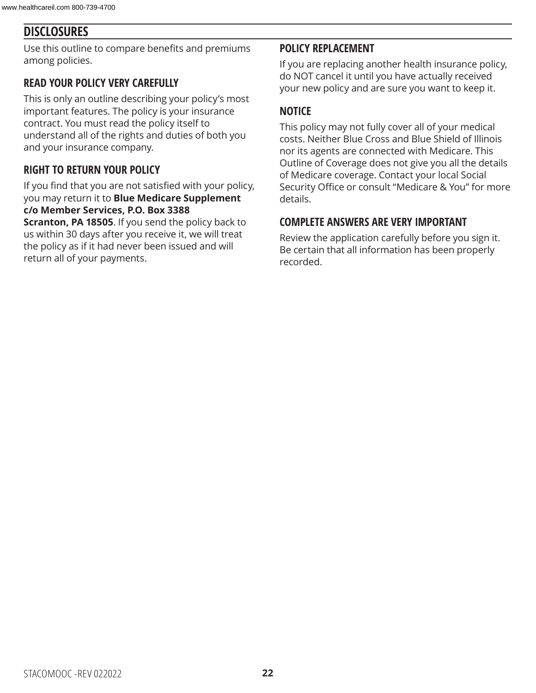### **DISCLOSURES**

Use this outline to compare benefits and premiums among policies.

#### **READ YOUR POLICY VERY CAREFULLY**

This is only an outline describing your policy's most important features. The policy is your insurance contract. You must read the policy itself to understand all of the rights and duties of both you and your insurance company.

#### **RIGHT TO RETURN YOUR POLICY**

If you find that you are not satisfied with your policy, you may return it to **Blue Medicare Supplement c/o Member Services, P.O. Box 3388** 

**Scranton, PA 18505**. If you send the policy back to us within 30 days after you receive it, we will treat the policy as if it had never been issued and will return all of your payments.

#### **POLICY REPLACEMENT**

If you are replacing another health insurance policy, do NOT cancel it until you have actually received your new policy and are sure you want to keep it.

#### **NOTICE**

This policy may not fully cover all of your medical costs. Neither Blue Cross and Blue Shield of Illinois nor its agents are connected with Medicare. This Outline of Coverage does not give you all the details of Medicare coverage. Contact your local Social Security Office or consult "Medicare & You" for more details.

#### **COMPLETE ANSWERS ARE VERY IMPORTANT**

Review the application carefully before you sign it. Be certain that all information has been properly recorded.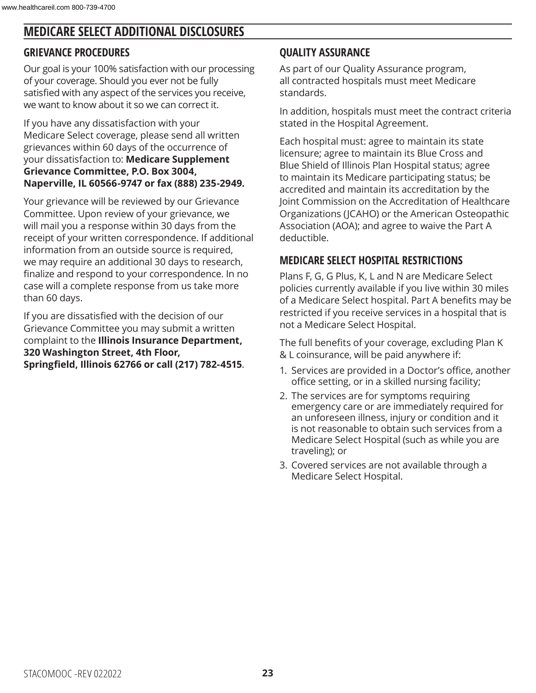### **MEDICARE SELECT ADDITIONAL DISCLOSURES**

#### **GRIEVANCE PROCEDURES**

Our goal is your 100% satisfaction with our processing of your coverage. Should you ever not be fully satisfied with any aspect of the services you receive, we want to know about it so we can correct it.

If you have any dissatisfaction with your Medicare Select coverage, please send all written grievances within 60 days of the occurrence of your dissatisfaction to: **Medicare Supplement Grievance Committee, P.O. Box 3004, Naperville, IL 60566-9747 or fax (888) 235-2949.**

Your grievance will be reviewed by our Grievance Committee. Upon review of your grievance, we will mail you a response within 30 days from the receipt of your written correspondence. If additional information from an outside source is required, we may require an additional 30 days to research, finalize and respond to your correspondence. In no case will a complete response from us take more than 60 days.

If you are dissatisfied with the decision of our Grievance Committee you may submit a written complaint to the **Illinois Insurance Department, 320 Washington Street, 4th Floor, Springfield, Illinois 62766 or call (217) 782-4515**.

### **QUALITY ASSURANCE**

As part of our Quality Assurance program, all contracted hospitals must meet Medicare standards.

In addition, hospitals must meet the contract criteria stated in the Hospital Agreement.

Each hospital must: agree to maintain its state licensure; agree to maintain its Blue Cross and Blue Shield of Illinois Plan Hospital status; agree to maintain its Medicare participating status; be accredited and maintain its accreditation by the Joint Commission on the Accreditation of Healthcare Organizations (JCAHO) or the American Osteopathic Association (AOA); and agree to waive the Part A deductible.

### **MEDICARE SELECT HOSPITAL RESTRICTIONS**

Plans F, G, G Plus, K, L and N are Medicare Select policies currently available if you live within 30 miles of a Medicare Select hospital. Part A benefits may be restricted if you receive services in a hospital that is not a Medicare Select Hospital.

The full benefits of your coverage, excluding Plan K & L coinsurance, will be paid anywhere if:

- 1. Services are provided in a Doctor's office, another office setting, or in a skilled nursing facility;
- 2. The services are for symptoms requiring emergency care or are immediately required for an unforeseen illness, injury or condition and it is not reasonable to obtain such services from a Medicare Select Hospital (such as while you are traveling); or
- 3. Covered services are not available through a Medicare Select Hospital.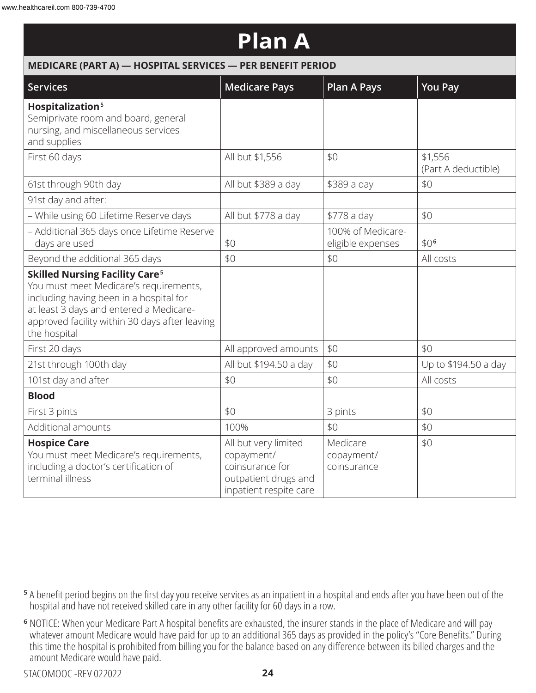#### **Plan A MEDICARE (PART A) — HOSPITAL SERVICES — PER BENEFIT PERIOD Services Medicare Pays Plan A Pays You Pay Hospitalization <sup>5</sup>** Semiprivate room and board, general nursing, and miscellaneous services and supplies First 60 days All but \$1,556 \$1,556 \$1,556 \$1,556 (Part A deductible) 61st through 90th day  $\vert$  All but \$389 a day  $\vert$  \$389 a day  $\vert$  \$0 91st day and after: – While using 60 Lifetime Reserve days  $\parallel$  All but \$778 a day  $\parallel$  \$778 a day  $\parallel$  \$0 – Additional 365 days once Lifetime Reserve  $\frac{1}{2}$  days are used  $\frac{1}{2}$ 100% of Medicareeligible expenses | \$0<sup>6</sup> Beyond the additional 365 days \$0 \$0 All costs **Skilled Nursing Facility Care <sup>5</sup>** You must meet Medicare's requirements, including having been in a hospital for at least 3 days and entered a Medicareapproved facility within 30 days after leaving the hospital First 20 days  $\vert$  All approved amounts  $\vert$  \$0  $\vert$  \$0 21st through 100th day  $\vert$  All but \$194.50 a day  $\vert$  \$0  $\vert$  Up to \$194.50 a day 101st day and after  $\vert \$0$   $\vert \$0$   $\vert \$0$   $\vert$  All costs **Blood** First 3 pints  $\begin{array}{|c|c|c|c|c|c|c|c|c|} \hline \end{array}$  \$0  $\begin{array}{|c|c|c|c|c|c|c|c|c|} \hline \end{array}$  3 pints  $\begin{array}{|c|c|c|c|c|c|c|c|} \hline \end{array}$ Additional amounts 100% \$0 \$0 **Hospice Care** You must meet Medicare's requirements, including a doctor's certification of terminal illness All but very limited copayment/ coinsurance for outpatient drugs and inpatient respite care Medicare copayment/ coinsurance \$0

- **<sup>5</sup>** A benefit period begins on the first day you receive services as an inpatient in a hospital and ends after you have been out of the hospital and have not received skilled care in any other facility for 60 days in a row.
- **<sup>6</sup>** NOTICE: When your Medicare Part A hospital benefits are exhausted, the insurer stands in the place of Medicare and will pay whatever amount Medicare would have paid for up to an additional 365 days as provided in the policy's "Core Benefits." During this time the hospital is prohibited from billing you for the balance based on any difference between its billed charges and the amount Medicare would have paid.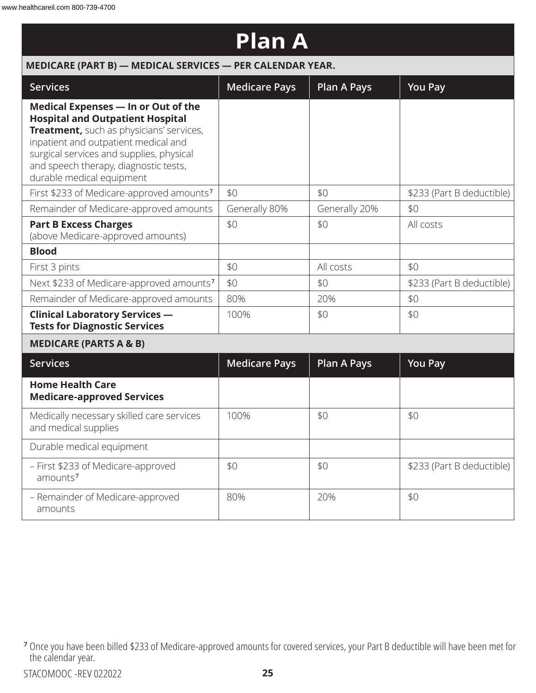| <b>Plan A</b>                                                                                                                                                                                                                                                                        |                      |                    |                           |  |  |
|--------------------------------------------------------------------------------------------------------------------------------------------------------------------------------------------------------------------------------------------------------------------------------------|----------------------|--------------------|---------------------------|--|--|
| MEDICARE (PART B) - MEDICAL SERVICES - PER CALENDAR YEAR.                                                                                                                                                                                                                            |                      |                    |                           |  |  |
| <b>Services</b>                                                                                                                                                                                                                                                                      | <b>Medicare Pays</b> | <b>Plan A Pays</b> | <b>You Pay</b>            |  |  |
| Medical Expenses - In or Out of the<br><b>Hospital and Outpatient Hospital</b><br>Treatment, such as physicians' services,<br>inpatient and outpatient medical and<br>surgical services and supplies, physical<br>and speech therapy, diagnostic tests,<br>durable medical equipment |                      |                    |                           |  |  |
| First \$233 of Medicare-approved amounts <sup>7</sup>                                                                                                                                                                                                                                | \$0                  | \$0                | \$233 (Part B deductible) |  |  |
| Remainder of Medicare-approved amounts                                                                                                                                                                                                                                               | Generally 80%        | Generally 20%      | \$0                       |  |  |
| <b>Part B Excess Charges</b><br>(above Medicare-approved amounts)                                                                                                                                                                                                                    | \$0                  | \$0                | All costs                 |  |  |
| <b>Blood</b>                                                                                                                                                                                                                                                                         |                      |                    |                           |  |  |
| First 3 pints                                                                                                                                                                                                                                                                        | \$0                  | All costs          | \$0                       |  |  |
| Next \$233 of Medicare-approved amounts <sup>7</sup>                                                                                                                                                                                                                                 | \$0                  | \$0                | \$233 (Part B deductible) |  |  |
| Remainder of Medicare-approved amounts                                                                                                                                                                                                                                               | 80%                  | 20%                | \$0                       |  |  |
| <b>Clinical Laboratory Services -</b><br><b>Tests for Diagnostic Services</b>                                                                                                                                                                                                        | 100%                 | \$0                | \$0                       |  |  |
| <b>MEDICARE (PARTS A &amp; B)</b>                                                                                                                                                                                                                                                    |                      |                    |                           |  |  |
| <b>Services</b>                                                                                                                                                                                                                                                                      | <b>Medicare Pays</b> | <b>Plan A Pays</b> | <b>You Pay</b>            |  |  |
| <b>Home Health Care</b><br><b>Medicare-approved Services</b>                                                                                                                                                                                                                         |                      |                    |                           |  |  |
| Medically necessary skilled care services<br>and medical supplies                                                                                                                                                                                                                    | 100%                 | \$0                | \$0                       |  |  |
| Durable medical equipment                                                                                                                                                                                                                                                            |                      |                    |                           |  |  |
| - First \$233 of Medicare-approved<br>amounts <sup>7</sup>                                                                                                                                                                                                                           | \$0                  | \$0                | \$233 (Part B deductible) |  |  |
| - Remainder of Medicare-approved<br>amounts                                                                                                                                                                                                                                          | 80%                  | 20%                | \$0                       |  |  |

**<sup>7</sup>** Once you have been billed \$233 of Medicare-approved amounts for covered services, your Part B deductible will have been met for the calendar year.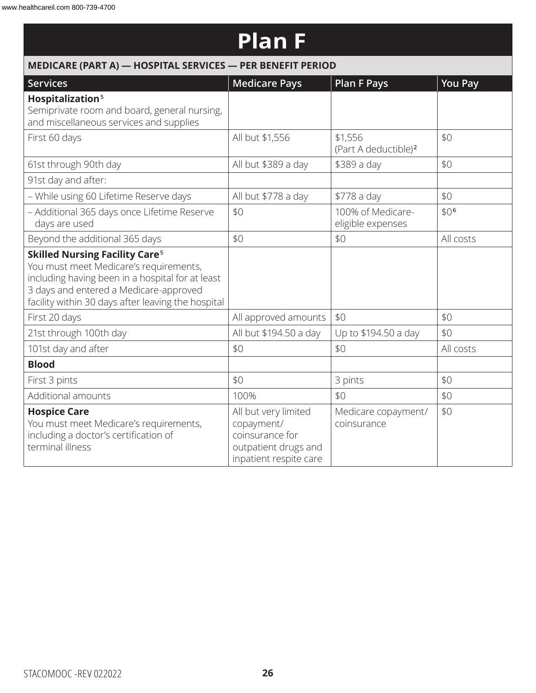### **Plan F**

| MEDICARE (PART A) - HOSPITAL SERVICES - PER BENEFIT PERIOD                                                                                                                                                                                     |                                                                                                         |                                             |                  |  |  |
|------------------------------------------------------------------------------------------------------------------------------------------------------------------------------------------------------------------------------------------------|---------------------------------------------------------------------------------------------------------|---------------------------------------------|------------------|--|--|
| <b>Services</b>                                                                                                                                                                                                                                | <b>Medicare Pays</b>                                                                                    | <b>Plan F Pays</b>                          | <b>You Pay</b>   |  |  |
| Hospitalization <sup>5</sup><br>Semiprivate room and board, general nursing,<br>and miscellaneous services and supplies                                                                                                                        |                                                                                                         |                                             |                  |  |  |
| First 60 days                                                                                                                                                                                                                                  | All but \$1,556                                                                                         | \$1,556<br>(Part A deductible) <sup>2</sup> | \$0              |  |  |
| 61st through 90th day                                                                                                                                                                                                                          | All but \$389 a day                                                                                     | \$389 a day                                 | \$0              |  |  |
| 91st day and after:                                                                                                                                                                                                                            |                                                                                                         |                                             |                  |  |  |
| - While using 60 Lifetime Reserve days                                                                                                                                                                                                         | All but \$778 a day                                                                                     | \$778 a day                                 | \$0              |  |  |
| - Additional 365 days once Lifetime Reserve<br>days are used                                                                                                                                                                                   | \$0                                                                                                     | 100% of Medicare-<br>eligible expenses      | \$0 <sup>6</sup> |  |  |
| Beyond the additional 365 days                                                                                                                                                                                                                 | \$0                                                                                                     | \$0                                         | All costs        |  |  |
| <b>Skilled Nursing Facility Care<sup>5</sup></b><br>You must meet Medicare's requirements,<br>including having been in a hospital for at least<br>3 days and entered a Medicare-approved<br>facility within 30 days after leaving the hospital |                                                                                                         |                                             |                  |  |  |
| First 20 days                                                                                                                                                                                                                                  | All approved amounts                                                                                    | \$0                                         | \$0              |  |  |
| 21st through 100th day                                                                                                                                                                                                                         | All but \$194.50 a day                                                                                  | Up to \$194.50 a day                        | \$0              |  |  |
| 101st day and after                                                                                                                                                                                                                            | \$0                                                                                                     | \$0                                         | All costs        |  |  |
| <b>Blood</b>                                                                                                                                                                                                                                   |                                                                                                         |                                             |                  |  |  |
| First 3 pints                                                                                                                                                                                                                                  | \$0                                                                                                     | 3 pints                                     | \$0              |  |  |
| Additional amounts                                                                                                                                                                                                                             | 100%                                                                                                    | \$0                                         | \$0              |  |  |
| <b>Hospice Care</b><br>You must meet Medicare's requirements,<br>including a doctor's certification of<br>terminal illness                                                                                                                     | All but very limited<br>copayment/<br>coinsurance for<br>outpatient drugs and<br>inpatient respite care | Medicare copayment/<br>coinsurance          | \$0              |  |  |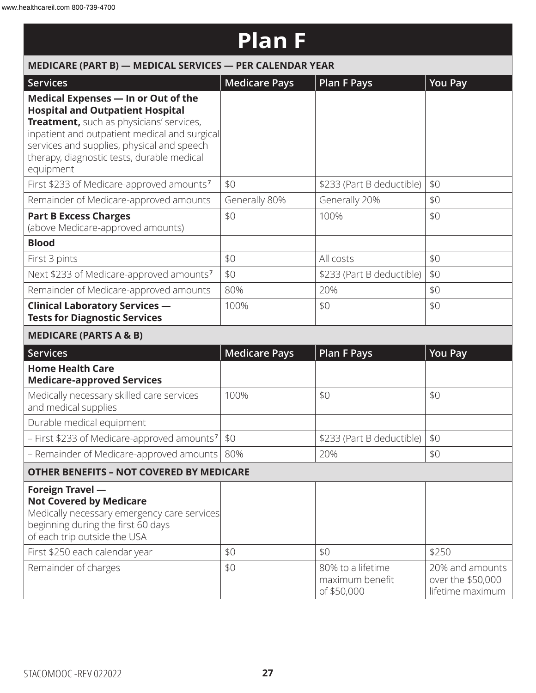### **Plan F**

| MEDICARE (PART B) - MEDICAL SERVICES - PER CALENDAR YEAR                                                                                                                                                                                                                             |                      |                                                     |                                                          |  |  |
|--------------------------------------------------------------------------------------------------------------------------------------------------------------------------------------------------------------------------------------------------------------------------------------|----------------------|-----------------------------------------------------|----------------------------------------------------------|--|--|
| <b>Services</b>                                                                                                                                                                                                                                                                      | <b>Medicare Pays</b> | <b>Plan F Pays</b>                                  | <b>You Pay</b>                                           |  |  |
| Medical Expenses - In or Out of the<br><b>Hospital and Outpatient Hospital</b><br>Treatment, such as physicians' services,<br>inpatient and outpatient medical and surgical<br>services and supplies, physical and speech<br>therapy, diagnostic tests, durable medical<br>equipment |                      |                                                     |                                                          |  |  |
| First \$233 of Medicare-approved amounts <sup>7</sup>                                                                                                                                                                                                                                | \$0                  | \$233 (Part B deductible)                           | \$0                                                      |  |  |
| Remainder of Medicare-approved amounts                                                                                                                                                                                                                                               | Generally 80%        | Generally 20%                                       | \$0                                                      |  |  |
| <b>Part B Excess Charges</b><br>(above Medicare-approved amounts)                                                                                                                                                                                                                    | \$0                  | 100%                                                | \$0                                                      |  |  |
| <b>Blood</b>                                                                                                                                                                                                                                                                         |                      |                                                     |                                                          |  |  |
| First 3 pints                                                                                                                                                                                                                                                                        | \$0                  | All costs                                           | \$0                                                      |  |  |
| Next \$233 of Medicare-approved amounts <sup>7</sup>                                                                                                                                                                                                                                 | \$0                  | \$233 (Part B deductible)                           | \$0                                                      |  |  |
| Remainder of Medicare-approved amounts                                                                                                                                                                                                                                               | 80%                  | 20%                                                 | \$0                                                      |  |  |
| <b>Clinical Laboratory Services -</b><br><b>Tests for Diagnostic Services</b>                                                                                                                                                                                                        | 100%                 | \$0                                                 | \$0                                                      |  |  |
| <b>MEDICARE (PARTS A &amp; B)</b>                                                                                                                                                                                                                                                    |                      |                                                     |                                                          |  |  |
| <b>Services</b>                                                                                                                                                                                                                                                                      | <b>Medicare Pays</b> | <b>Plan F Pays</b>                                  | <b>You Pay</b>                                           |  |  |
| <b>Home Health Care</b><br><b>Medicare-approved Services</b>                                                                                                                                                                                                                         |                      |                                                     |                                                          |  |  |
| Medically necessary skilled care services<br>and medical supplies                                                                                                                                                                                                                    | 100%                 | \$0                                                 | \$0                                                      |  |  |
| Durable medical equipment                                                                                                                                                                                                                                                            |                      |                                                     |                                                          |  |  |
| - First \$233 of Medicare-approved amounts <sup>7</sup>                                                                                                                                                                                                                              | \$0                  | \$233 (Part B deductible)                           | \$0                                                      |  |  |
| - Remainder of Medicare-approved amounts                                                                                                                                                                                                                                             | 80%                  | 20%                                                 | \$0                                                      |  |  |
| <b>OTHER BENEFITS - NOT COVERED BY MEDICARE</b>                                                                                                                                                                                                                                      |                      |                                                     |                                                          |  |  |
| <b>Foreign Travel -</b><br><b>Not Covered by Medicare</b><br>Medically necessary emergency care services<br>beginning during the first 60 days<br>of each trip outside the USA                                                                                                       |                      |                                                     |                                                          |  |  |
| First \$250 each calendar year                                                                                                                                                                                                                                                       | \$0                  | \$0                                                 | \$250                                                    |  |  |
| Remainder of charges                                                                                                                                                                                                                                                                 | \$0                  | 80% to a lifetime<br>maximum benefit<br>of \$50,000 | 20% and amounts<br>over the \$50,000<br>lifetime maximum |  |  |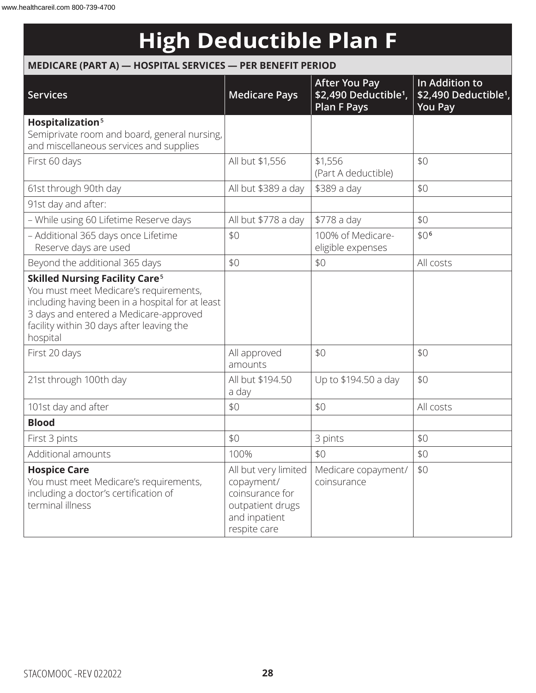# **High Deductible Plan F**

### **MEDICARE (PART A) — HOSPITAL SERVICES — PER BENEFIT PERIOD**

| <b>Services</b>                                                                                                                                                                                                                                   | <b>Medicare Pays</b>                                                                                       | <b>After You Pay</b><br>\$2,490 Deductible <sup>1</sup> ,<br><b>Plan F Pays</b> | In Addition to<br>\$2,490 Deductible <sup>1</sup> ,<br><b>You Pay</b> |
|---------------------------------------------------------------------------------------------------------------------------------------------------------------------------------------------------------------------------------------------------|------------------------------------------------------------------------------------------------------------|---------------------------------------------------------------------------------|-----------------------------------------------------------------------|
| Hospitalization <sup>5</sup><br>Semiprivate room and board, general nursing,<br>and miscellaneous services and supplies                                                                                                                           |                                                                                                            |                                                                                 |                                                                       |
| First 60 days                                                                                                                                                                                                                                     | All but \$1,556                                                                                            | \$1,556<br>(Part A deductible)                                                  | \$0                                                                   |
| 61st through 90th day                                                                                                                                                                                                                             | All but \$389 a day                                                                                        | \$389 a day                                                                     | \$0                                                                   |
| 91st day and after:                                                                                                                                                                                                                               |                                                                                                            |                                                                                 |                                                                       |
| - While using 60 Lifetime Reserve days                                                                                                                                                                                                            | All but \$778 a day                                                                                        | \$778 a day                                                                     | \$0                                                                   |
| - Additional 365 days once Lifetime<br>Reserve days are used                                                                                                                                                                                      | \$0                                                                                                        | 100% of Medicare-<br>eligible expenses                                          | \$0 <sup>6</sup>                                                      |
| Beyond the additional 365 days                                                                                                                                                                                                                    | \$0                                                                                                        | \$0                                                                             | All costs                                                             |
| <b>Skilled Nursing Facility Care<sup>5</sup></b><br>You must meet Medicare's requirements,<br>including having been in a hospital for at least<br>3 days and entered a Medicare-approved<br>facility within 30 days after leaving the<br>hospital |                                                                                                            |                                                                                 |                                                                       |
| First 20 days                                                                                                                                                                                                                                     | All approved<br>amounts                                                                                    | \$0                                                                             | \$0                                                                   |
| 21st through 100th day                                                                                                                                                                                                                            | All but \$194.50<br>a day                                                                                  | Up to \$194.50 a day                                                            | \$0                                                                   |
| 101st day and after                                                                                                                                                                                                                               | \$0                                                                                                        | \$0                                                                             | All costs                                                             |
| <b>Blood</b>                                                                                                                                                                                                                                      |                                                                                                            |                                                                                 |                                                                       |
| First 3 pints                                                                                                                                                                                                                                     | \$0                                                                                                        | 3 pints                                                                         | \$0                                                                   |
| Additional amounts                                                                                                                                                                                                                                | 100%                                                                                                       | \$0                                                                             | \$0                                                                   |
| <b>Hospice Care</b><br>You must meet Medicare's requirements,<br>including a doctor's certification of<br>terminal illness                                                                                                                        | All but very limited<br>copayment/<br>coinsurance for<br>outpatient drugs<br>and inpatient<br>respite care | Medicare copayment/<br>coinsurance                                              | \$0                                                                   |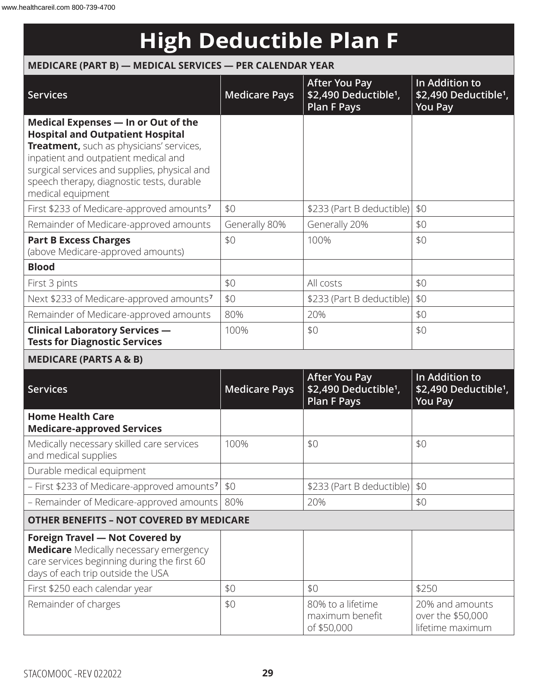# **High Deductible Plan F**

### **MEDICARE (PART B) — MEDICAL SERVICES — PER CALENDAR YEAR**

| <b>Services</b>                                                                                                                                                                                                                                                                      | <b>Medicare Pays</b> | <b>After You Pay</b><br>\$2,490 Deductible <sup>1</sup> ,<br><b>Plan F Pays</b> | In Addition to<br>\$2,490 Deductible <sup>1</sup> ,<br><b>You Pay</b> |
|--------------------------------------------------------------------------------------------------------------------------------------------------------------------------------------------------------------------------------------------------------------------------------------|----------------------|---------------------------------------------------------------------------------|-----------------------------------------------------------------------|
| Medical Expenses - In or Out of the<br><b>Hospital and Outpatient Hospital</b><br>Treatment, such as physicians' services,<br>inpatient and outpatient medical and<br>surgical services and supplies, physical and<br>speech therapy, diagnostic tests, durable<br>medical equipment |                      |                                                                                 |                                                                       |
| First \$233 of Medicare-approved amounts <sup>7</sup>                                                                                                                                                                                                                                | \$0                  | \$233 (Part B deductible)                                                       | \$0                                                                   |
| Remainder of Medicare-approved amounts                                                                                                                                                                                                                                               | Generally 80%        | Generally 20%                                                                   | \$0                                                                   |
| <b>Part B Excess Charges</b><br>(above Medicare-approved amounts)                                                                                                                                                                                                                    | \$0                  | 100%                                                                            | \$0                                                                   |
| <b>Blood</b>                                                                                                                                                                                                                                                                         |                      |                                                                                 |                                                                       |
| First 3 pints                                                                                                                                                                                                                                                                        | \$0                  | All costs                                                                       | \$0                                                                   |
| Next \$233 of Medicare-approved amounts <sup>7</sup>                                                                                                                                                                                                                                 | \$0                  | \$233 (Part B deductible)                                                       | \$0                                                                   |
| Remainder of Medicare-approved amounts                                                                                                                                                                                                                                               | 80%                  | 20%                                                                             | \$0                                                                   |
| <b>Clinical Laboratory Services -</b><br><b>Tests for Diagnostic Services</b>                                                                                                                                                                                                        | 100%                 | \$0                                                                             | \$0                                                                   |
| <b>MEDICARE (PARTS A &amp; B)</b>                                                                                                                                                                                                                                                    |                      |                                                                                 |                                                                       |
| <b>Services</b>                                                                                                                                                                                                                                                                      | <b>Medicare Pays</b> | <b>After You Pay</b><br>\$2,490 Deductible <sup>1</sup> ,<br><b>Plan F Pays</b> | In Addition to<br>\$2,490 Deductible <sup>1</sup> ,<br><b>You Pay</b> |
| <b>Home Health Care</b><br><b>Medicare-approved Services</b>                                                                                                                                                                                                                         |                      |                                                                                 |                                                                       |
| Medically necessary skilled care services<br>and medical supplies                                                                                                                                                                                                                    | 100%                 | \$0                                                                             | \$0                                                                   |
| Durable medical equipment                                                                                                                                                                                                                                                            |                      |                                                                                 |                                                                       |
| - First \$233 of Medicare-approved amounts <sup>7</sup>                                                                                                                                                                                                                              | \$0                  | \$233 (Part B deductible)                                                       | \$0                                                                   |
| - Remainder of Medicare-approved amounts                                                                                                                                                                                                                                             | 80%                  | 20%                                                                             | \$0                                                                   |
| <b>OTHER BENEFITS - NOT COVERED BY MEDICARE</b>                                                                                                                                                                                                                                      |                      |                                                                                 |                                                                       |
| <b>Foreign Travel - Not Covered by</b><br><b>Medicare</b> Medically necessary emergency<br>care services beginning during the first 60<br>days of each trip outside the USA                                                                                                          |                      |                                                                                 |                                                                       |
| First \$250 each calendar year                                                                                                                                                                                                                                                       | \$0                  | \$0                                                                             | \$250                                                                 |
| Remainder of charges                                                                                                                                                                                                                                                                 | \$0                  | 80% to a lifetime<br>maximum benefit<br>of \$50,000                             | 20% and amounts<br>over the \$50,000<br>lifetime maximum              |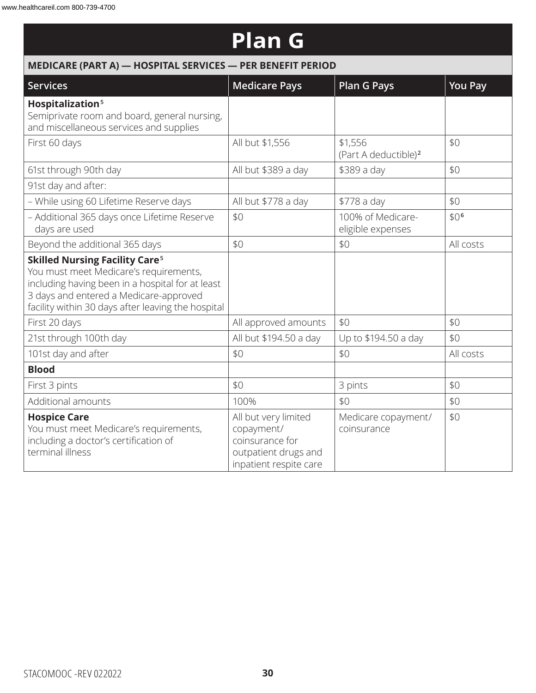### **Plan G**

| MEDICARE (PART A) - HOSPITAL SERVICES - PER BENEFIT PERIOD                                                                                                                                                                                     |                                                                                                         |                                             |                  |  |  |
|------------------------------------------------------------------------------------------------------------------------------------------------------------------------------------------------------------------------------------------------|---------------------------------------------------------------------------------------------------------|---------------------------------------------|------------------|--|--|
| <b>Services</b>                                                                                                                                                                                                                                | <b>Medicare Pays</b>                                                                                    | <b>Plan G Pays</b>                          | <b>You Pay</b>   |  |  |
| Hospitalization <sup>5</sup><br>Semiprivate room and board, general nursing,<br>and miscellaneous services and supplies                                                                                                                        |                                                                                                         |                                             |                  |  |  |
| First 60 days                                                                                                                                                                                                                                  | All but \$1,556                                                                                         | \$1,556<br>(Part A deductible) <sup>2</sup> | \$0              |  |  |
| 61st through 90th day                                                                                                                                                                                                                          | All but \$389 a day                                                                                     | \$389 a day                                 | \$0              |  |  |
| 91st day and after:                                                                                                                                                                                                                            |                                                                                                         |                                             |                  |  |  |
| - While using 60 Lifetime Reserve days                                                                                                                                                                                                         | All but \$778 a day                                                                                     | \$778 a day                                 | \$0              |  |  |
| - Additional 365 days once Lifetime Reserve<br>days are used                                                                                                                                                                                   | \$0                                                                                                     | 100% of Medicare-<br>eligible expenses      | \$0 <sup>6</sup> |  |  |
| Beyond the additional 365 days                                                                                                                                                                                                                 | \$0                                                                                                     | \$0                                         | All costs        |  |  |
| <b>Skilled Nursing Facility Care<sup>5</sup></b><br>You must meet Medicare's requirements,<br>including having been in a hospital for at least<br>3 days and entered a Medicare-approved<br>facility within 30 days after leaving the hospital |                                                                                                         |                                             |                  |  |  |
| First 20 days                                                                                                                                                                                                                                  | All approved amounts                                                                                    | \$0                                         | \$0              |  |  |
| 21st through 100th day                                                                                                                                                                                                                         | All but \$194.50 a day                                                                                  | Up to \$194.50 a day                        | \$0              |  |  |
| 101st day and after                                                                                                                                                                                                                            | \$0                                                                                                     | \$0                                         | All costs        |  |  |
| <b>Blood</b>                                                                                                                                                                                                                                   |                                                                                                         |                                             |                  |  |  |
| First 3 pints                                                                                                                                                                                                                                  | \$0                                                                                                     | 3 pints                                     | \$0              |  |  |
| Additional amounts                                                                                                                                                                                                                             | 100%                                                                                                    | \$0                                         | \$0              |  |  |
| <b>Hospice Care</b><br>You must meet Medicare's requirements,<br>including a doctor's certification of<br>terminal illness                                                                                                                     | All but very limited<br>copayment/<br>coinsurance for<br>outpatient drugs and<br>inpatient respite care | Medicare copayment/<br>coinsurance          | \$0              |  |  |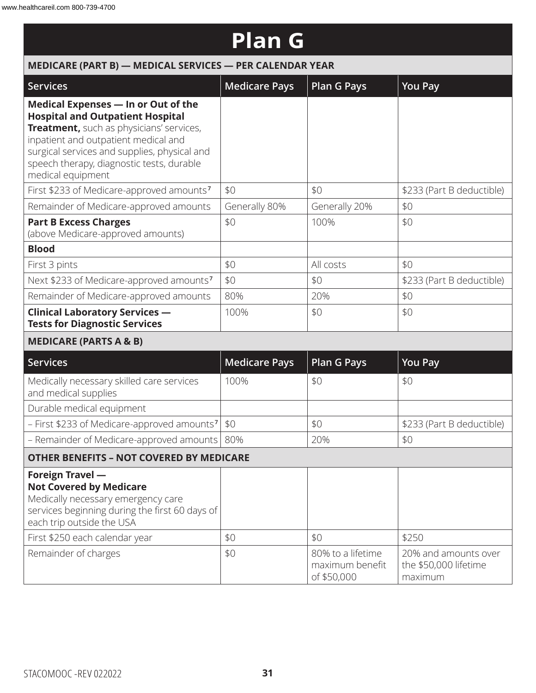| <b>Plan G</b>                                                                                                                                                                                                                                                                        |                                                          |                                                     |                                                          |  |  |  |  |
|--------------------------------------------------------------------------------------------------------------------------------------------------------------------------------------------------------------------------------------------------------------------------------------|----------------------------------------------------------|-----------------------------------------------------|----------------------------------------------------------|--|--|--|--|
|                                                                                                                                                                                                                                                                                      | MEDICARE (PART B) - MEDICAL SERVICES - PER CALENDAR YEAR |                                                     |                                                          |  |  |  |  |
| <b>Services</b>                                                                                                                                                                                                                                                                      | <b>Medicare Pays</b>                                     | <b>Plan G Pays</b>                                  | <b>You Pay</b>                                           |  |  |  |  |
| Medical Expenses - In or Out of the<br><b>Hospital and Outpatient Hospital</b><br>Treatment, such as physicians' services,<br>inpatient and outpatient medical and<br>surgical services and supplies, physical and<br>speech therapy, diagnostic tests, durable<br>medical equipment |                                                          |                                                     |                                                          |  |  |  |  |
| First \$233 of Medicare-approved amounts <sup>7</sup>                                                                                                                                                                                                                                | \$0                                                      | \$0                                                 | \$233 (Part B deductible)                                |  |  |  |  |
| Remainder of Medicare-approved amounts                                                                                                                                                                                                                                               | Generally 80%                                            | Generally 20%                                       | \$0                                                      |  |  |  |  |
| <b>Part B Excess Charges</b><br>(above Medicare-approved amounts)                                                                                                                                                                                                                    | \$0                                                      | 100%                                                | \$0                                                      |  |  |  |  |
| <b>Blood</b>                                                                                                                                                                                                                                                                         |                                                          |                                                     |                                                          |  |  |  |  |
| First 3 pints                                                                                                                                                                                                                                                                        | \$0                                                      | All costs                                           | \$0                                                      |  |  |  |  |
| Next \$233 of Medicare-approved amounts <sup>7</sup>                                                                                                                                                                                                                                 | \$0                                                      | \$0                                                 | \$233 (Part B deductible)                                |  |  |  |  |
| Remainder of Medicare-approved amounts                                                                                                                                                                                                                                               | 80%                                                      | 20%                                                 | \$0                                                      |  |  |  |  |
| <b>Clinical Laboratory Services -</b><br><b>Tests for Diagnostic Services</b>                                                                                                                                                                                                        | 100%                                                     | \$0                                                 | \$0                                                      |  |  |  |  |
| <b>MEDICARE (PARTS A &amp; B)</b>                                                                                                                                                                                                                                                    |                                                          |                                                     |                                                          |  |  |  |  |
| <b>Services</b>                                                                                                                                                                                                                                                                      | <b>Medicare Pays</b>                                     | <b>Plan G Pays</b>                                  | <b>You Pay</b>                                           |  |  |  |  |
| Medically necessary skilled care services<br>and medical supplies                                                                                                                                                                                                                    | 100%                                                     | \$0                                                 | \$0                                                      |  |  |  |  |
| Durable medical equipment                                                                                                                                                                                                                                                            |                                                          |                                                     |                                                          |  |  |  |  |
| - First \$233 of Medicare-approved amounts <sup>7</sup>                                                                                                                                                                                                                              | \$0                                                      | \$0                                                 | \$233 (Part B deductible)                                |  |  |  |  |
| - Remainder of Medicare-approved amounts                                                                                                                                                                                                                                             | 80%                                                      | 20%                                                 | \$0                                                      |  |  |  |  |
| <b>OTHER BENEFITS - NOT COVERED BY MEDICARE</b>                                                                                                                                                                                                                                      |                                                          |                                                     |                                                          |  |  |  |  |
| Foreign Travel -<br><b>Not Covered by Medicare</b><br>Medically necessary emergency care<br>services beginning during the first 60 days of<br>each trip outside the USA                                                                                                              |                                                          |                                                     |                                                          |  |  |  |  |
| First \$250 each calendar year                                                                                                                                                                                                                                                       | \$0                                                      | \$0                                                 | \$250                                                    |  |  |  |  |
| Remainder of charges                                                                                                                                                                                                                                                                 | \$0                                                      | 80% to a lifetime<br>maximum benefit<br>of \$50,000 | 20% and amounts over<br>the \$50,000 lifetime<br>maximum |  |  |  |  |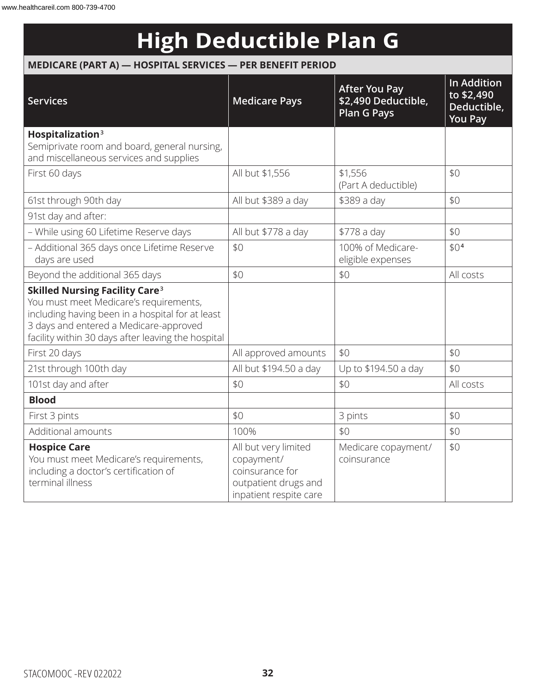# **High Deductible Plan G**

### **MEDICARE (PART A) — HOSPITAL SERVICES — PER BENEFIT PERIOD**

| <b>Services</b>                                                                                                                                                                                                                                | <b>Medicare Pays</b>                                                                                    | <b>After You Pay</b><br>\$2,490 Deductible,<br><b>Plan G Pays</b> | <b>In Addition</b><br>to \$2,490<br>Deductible,<br><b>You Pay</b> |
|------------------------------------------------------------------------------------------------------------------------------------------------------------------------------------------------------------------------------------------------|---------------------------------------------------------------------------------------------------------|-------------------------------------------------------------------|-------------------------------------------------------------------|
| Hospitalization <sup>3</sup><br>Semiprivate room and board, general nursing,<br>and miscellaneous services and supplies                                                                                                                        |                                                                                                         |                                                                   |                                                                   |
| First 60 days                                                                                                                                                                                                                                  | All but \$1,556                                                                                         | \$1,556<br>(Part A deductible)                                    | \$0                                                               |
| 61st through 90th day                                                                                                                                                                                                                          | All but \$389 a day                                                                                     | \$389 a day                                                       | \$0                                                               |
| 91st day and after:                                                                                                                                                                                                                            |                                                                                                         |                                                                   |                                                                   |
| - While using 60 Lifetime Reserve days                                                                                                                                                                                                         | All but \$778 a day                                                                                     | \$778 a day                                                       | \$0                                                               |
| - Additional 365 days once Lifetime Reserve<br>days are used                                                                                                                                                                                   | \$0                                                                                                     | 100% of Medicare-<br>eligible expenses                            | \$0 <sup>4</sup>                                                  |
| Beyond the additional 365 days                                                                                                                                                                                                                 | \$0                                                                                                     | \$0                                                               | All costs                                                         |
| <b>Skilled Nursing Facility Care<sup>3</sup></b><br>You must meet Medicare's requirements,<br>including having been in a hospital for at least<br>3 days and entered a Medicare-approved<br>facility within 30 days after leaving the hospital |                                                                                                         |                                                                   |                                                                   |
| First 20 days                                                                                                                                                                                                                                  | All approved amounts                                                                                    | \$0                                                               | \$0                                                               |
| 21st through 100th day                                                                                                                                                                                                                         | All but \$194.50 a day                                                                                  | Up to \$194.50 a day                                              | \$0                                                               |
| 101st day and after                                                                                                                                                                                                                            | \$0                                                                                                     | \$0                                                               | All costs                                                         |
| <b>Blood</b>                                                                                                                                                                                                                                   |                                                                                                         |                                                                   |                                                                   |
| First 3 pints                                                                                                                                                                                                                                  | \$0                                                                                                     | 3 pints                                                           | \$0                                                               |
| Additional amounts                                                                                                                                                                                                                             | 100%                                                                                                    | \$0                                                               | \$0                                                               |
| <b>Hospice Care</b><br>You must meet Medicare's requirements,<br>including a doctor's certification of<br>terminal illness                                                                                                                     | All but very limited<br>copayment/<br>coinsurance for<br>outpatient drugs and<br>inpatient respite care | Medicare copayment/<br>coinsurance                                | \$0                                                               |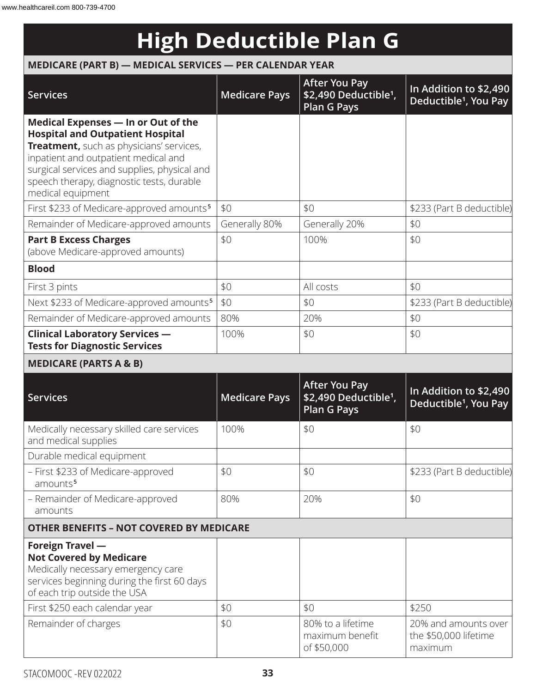# **High Deductible Plan G**

#### **MEDICARE (PART B) — MEDICAL SERVICES — PER CALENDAR YEAR**

| <b>Services</b>                                                                                                                                                                                                                                                                      | <b>Medicare Pays</b> | <b>After You Pay</b><br>\$2,490 Deductible <sup>1</sup> ,<br>Plan G Pays        | In Addition to \$2,490<br>Deductible <sup>1</sup> , You Pay |
|--------------------------------------------------------------------------------------------------------------------------------------------------------------------------------------------------------------------------------------------------------------------------------------|----------------------|---------------------------------------------------------------------------------|-------------------------------------------------------------|
| Medical Expenses - In or Out of the<br><b>Hospital and Outpatient Hospital</b><br>Treatment, such as physicians' services,<br>inpatient and outpatient medical and<br>surgical services and supplies, physical and<br>speech therapy, diagnostic tests, durable<br>medical equipment |                      |                                                                                 |                                                             |
| First \$233 of Medicare-approved amounts <sup>5</sup>                                                                                                                                                                                                                                | \$0                  | \$0                                                                             | \$233 (Part B deductible)                                   |
| Remainder of Medicare-approved amounts                                                                                                                                                                                                                                               | Generally 80%        | Generally 20%                                                                   | \$0                                                         |
| <b>Part B Excess Charges</b><br>(above Medicare-approved amounts)                                                                                                                                                                                                                    | \$0                  | 100%                                                                            | \$0                                                         |
| <b>Blood</b>                                                                                                                                                                                                                                                                         |                      |                                                                                 |                                                             |
| First 3 pints                                                                                                                                                                                                                                                                        | \$0                  | All costs                                                                       | \$0                                                         |
| Next \$233 of Medicare-approved amounts <sup>5</sup>                                                                                                                                                                                                                                 | \$0                  | \$0                                                                             | \$233 (Part B deductible)                                   |
| Remainder of Medicare-approved amounts                                                                                                                                                                                                                                               | 80%                  | 20%                                                                             | \$0                                                         |
| <b>Clinical Laboratory Services -</b><br><b>Tests for Diagnostic Services</b>                                                                                                                                                                                                        | 100%                 | \$0                                                                             | \$0                                                         |
| <b>MEDICARE (PARTS A &amp; B)</b>                                                                                                                                                                                                                                                    |                      |                                                                                 |                                                             |
| <b>Services</b>                                                                                                                                                                                                                                                                      | <b>Medicare Pays</b> | <b>After You Pay</b><br>\$2,490 Deductible <sup>1</sup> ,<br><b>Plan G Pays</b> | In Addition to \$2,490<br>Deductible <sup>1</sup> , You Pay |
| Medically necessary skilled care services<br>and medical supplies                                                                                                                                                                                                                    | 100%                 | \$0                                                                             | \$0                                                         |
| Durable medical equipment                                                                                                                                                                                                                                                            |                      |                                                                                 |                                                             |
| - First \$233 of Medicare-approved<br>amounts <sup>5</sup>                                                                                                                                                                                                                           | \$0                  | \$0                                                                             | \$233 (Part B deductible)                                   |
| - Remainder of Medicare-approved<br>amounts                                                                                                                                                                                                                                          | 80%                  | 20%                                                                             | \$0                                                         |
| <b>OTHER BENEFITS - NOT COVERED BY MEDICARE</b>                                                                                                                                                                                                                                      |                      |                                                                                 |                                                             |
| <b>Foreign Travel -</b><br><b>Not Covered by Medicare</b><br>Medically necessary emergency care<br>services beginning during the first 60 days<br>of each trip outside the USA                                                                                                       |                      |                                                                                 |                                                             |
| First \$250 each calendar year<br>Remainder of charges                                                                                                                                                                                                                               | \$0<br>\$0           | \$0<br>80% to a lifetime                                                        | \$250<br>20% and amounts over                               |
|                                                                                                                                                                                                                                                                                      |                      | maximum benefit<br>of \$50,000                                                  | the \$50,000 lifetime<br>maximum                            |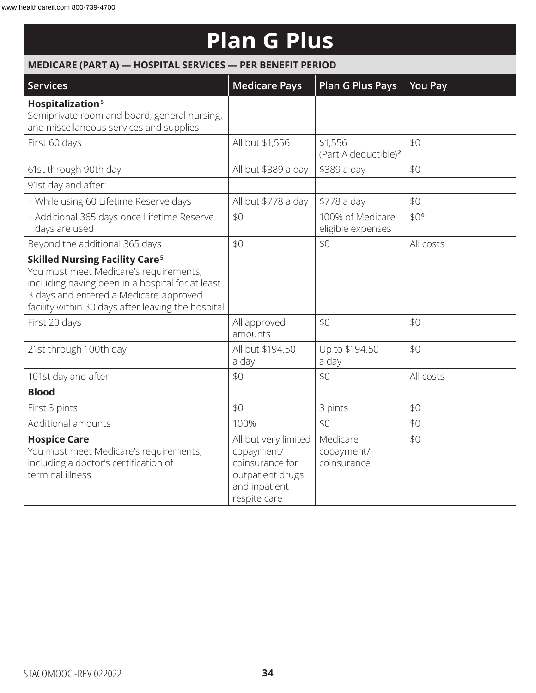# **Plan G Plus**

| MEDICARE (PART A) - HOSPITAL SERVICES - PER BENEFIT PERIOD                                                                                                                                                                                     |                                                                                                            |                                             |                  |  |  |
|------------------------------------------------------------------------------------------------------------------------------------------------------------------------------------------------------------------------------------------------|------------------------------------------------------------------------------------------------------------|---------------------------------------------|------------------|--|--|
| Services                                                                                                                                                                                                                                       | <b>Medicare Pays</b>                                                                                       | <b>Plan G Plus Pays</b>                     | <b>You Pay</b>   |  |  |
| Hospitalization <sup>5</sup><br>Semiprivate room and board, general nursing,<br>and miscellaneous services and supplies                                                                                                                        |                                                                                                            |                                             |                  |  |  |
| First 60 days                                                                                                                                                                                                                                  | All but \$1,556                                                                                            | \$1,556<br>(Part A deductible) <sup>2</sup> | \$0              |  |  |
| 61st through 90th day                                                                                                                                                                                                                          | All but \$389 a day                                                                                        | \$389 a day                                 | \$0              |  |  |
| 91st day and after:                                                                                                                                                                                                                            |                                                                                                            |                                             |                  |  |  |
| - While using 60 Lifetime Reserve days                                                                                                                                                                                                         | All but \$778 a day                                                                                        | \$778 a day                                 | \$0              |  |  |
| - Additional 365 days once Lifetime Reserve<br>days are used                                                                                                                                                                                   | \$0                                                                                                        | 100% of Medicare-<br>eligible expenses      | \$0 <sup>6</sup> |  |  |
| Beyond the additional 365 days                                                                                                                                                                                                                 | \$0                                                                                                        | \$0                                         | All costs        |  |  |
| <b>Skilled Nursing Facility Care<sup>5</sup></b><br>You must meet Medicare's requirements,<br>including having been in a hospital for at least<br>3 days and entered a Medicare-approved<br>facility within 30 days after leaving the hospital |                                                                                                            |                                             |                  |  |  |
| First 20 days                                                                                                                                                                                                                                  | All approved<br>amounts                                                                                    | \$0                                         | \$0              |  |  |
| 21st through 100th day                                                                                                                                                                                                                         | All but \$194.50<br>a day                                                                                  | Up to \$194.50<br>a day                     | \$0              |  |  |
| 101st day and after                                                                                                                                                                                                                            | \$0                                                                                                        | \$0                                         | All costs        |  |  |
| <b>Blood</b>                                                                                                                                                                                                                                   |                                                                                                            |                                             |                  |  |  |
| First 3 pints                                                                                                                                                                                                                                  | \$0                                                                                                        | 3 pints                                     | \$0              |  |  |
| Additional amounts                                                                                                                                                                                                                             | 100%                                                                                                       | \$0                                         | \$0              |  |  |
| <b>Hospice Care</b><br>You must meet Medicare's requirements,<br>including a doctor's certification of<br>terminal illness                                                                                                                     | All but very limited<br>copayment/<br>coinsurance for<br>outpatient drugs<br>and inpatient<br>respite care | Medicare<br>copayment/<br>coinsurance       | \$0              |  |  |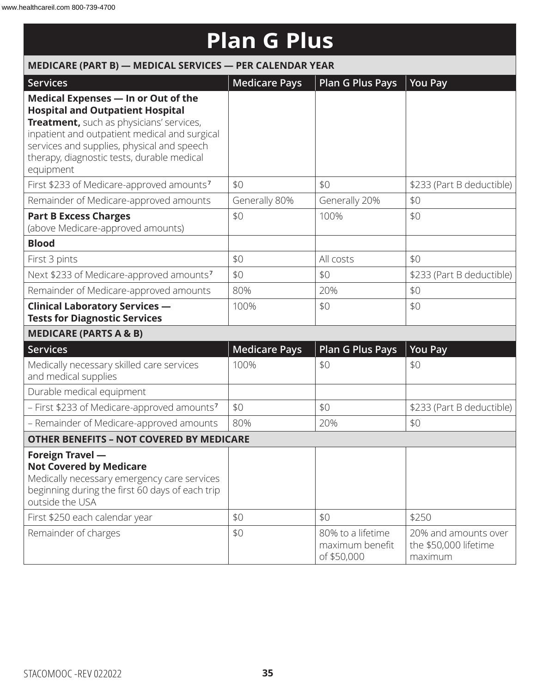# **Plan G Plus**

| MEDICARE (PART B) - MEDICAL SERVICES - PER CALENDAR YEAR                                                                                                                                                                                                                             |                      |                                                     |                                                          |  |  |
|--------------------------------------------------------------------------------------------------------------------------------------------------------------------------------------------------------------------------------------------------------------------------------------|----------------------|-----------------------------------------------------|----------------------------------------------------------|--|--|
| <b>Services</b>                                                                                                                                                                                                                                                                      | <b>Medicare Pays</b> | Plan G Plus Pays                                    | <b>You Pay</b>                                           |  |  |
| Medical Expenses - In or Out of the<br><b>Hospital and Outpatient Hospital</b><br>Treatment, such as physicians' services,<br>inpatient and outpatient medical and surgical<br>services and supplies, physical and speech<br>therapy, diagnostic tests, durable medical<br>equipment |                      |                                                     |                                                          |  |  |
| First \$233 of Medicare-approved amounts <sup>7</sup>                                                                                                                                                                                                                                | \$0                  | \$0                                                 | \$233 (Part B deductible)                                |  |  |
| Remainder of Medicare-approved amounts                                                                                                                                                                                                                                               | Generally 80%        | Generally 20%                                       | \$0                                                      |  |  |
| <b>Part B Excess Charges</b><br>(above Medicare-approved amounts)                                                                                                                                                                                                                    | \$0                  | 100%                                                | \$0                                                      |  |  |
| <b>Blood</b>                                                                                                                                                                                                                                                                         |                      |                                                     |                                                          |  |  |
| First 3 pints                                                                                                                                                                                                                                                                        | \$0                  | All costs                                           | \$0                                                      |  |  |
| Next \$233 of Medicare-approved amounts <sup>7</sup>                                                                                                                                                                                                                                 | \$0                  | \$0                                                 | \$233 (Part B deductible)                                |  |  |
| Remainder of Medicare-approved amounts                                                                                                                                                                                                                                               | 80%                  | 20%                                                 | \$0                                                      |  |  |
| <b>Clinical Laboratory Services -</b><br><b>Tests for Diagnostic Services</b>                                                                                                                                                                                                        | 100%                 | \$0                                                 | \$0                                                      |  |  |
| <b>MEDICARE (PARTS A &amp; B)</b>                                                                                                                                                                                                                                                    |                      |                                                     |                                                          |  |  |
| <b>Services</b>                                                                                                                                                                                                                                                                      | <b>Medicare Pays</b> | <b>Plan G Plus Pays</b>                             | <b>You Pay</b>                                           |  |  |
| Medically necessary skilled care services<br>and medical supplies                                                                                                                                                                                                                    | 100%                 | \$0                                                 | \$0                                                      |  |  |
| Durable medical equipment                                                                                                                                                                                                                                                            |                      |                                                     |                                                          |  |  |
| - First \$233 of Medicare-approved amounts <sup>7</sup>                                                                                                                                                                                                                              | \$0                  | \$0                                                 | \$233 (Part B deductible)                                |  |  |
| - Remainder of Medicare-approved amounts                                                                                                                                                                                                                                             | 80%                  | 20%                                                 | \$0                                                      |  |  |
| <b>OTHER BENEFITS - NOT COVERED BY MEDICARE</b>                                                                                                                                                                                                                                      |                      |                                                     |                                                          |  |  |
| Foreign Travel -<br><b>Not Covered by Medicare</b><br>Medically necessary emergency care services<br>beginning during the first 60 days of each trip<br>outside the USA                                                                                                              |                      |                                                     |                                                          |  |  |
| First \$250 each calendar year                                                                                                                                                                                                                                                       | \$0                  | \$0                                                 | \$250                                                    |  |  |
| Remainder of charges                                                                                                                                                                                                                                                                 | \$0                  | 80% to a lifetime<br>maximum benefit<br>of \$50,000 | 20% and amounts over<br>the \$50,000 lifetime<br>maximum |  |  |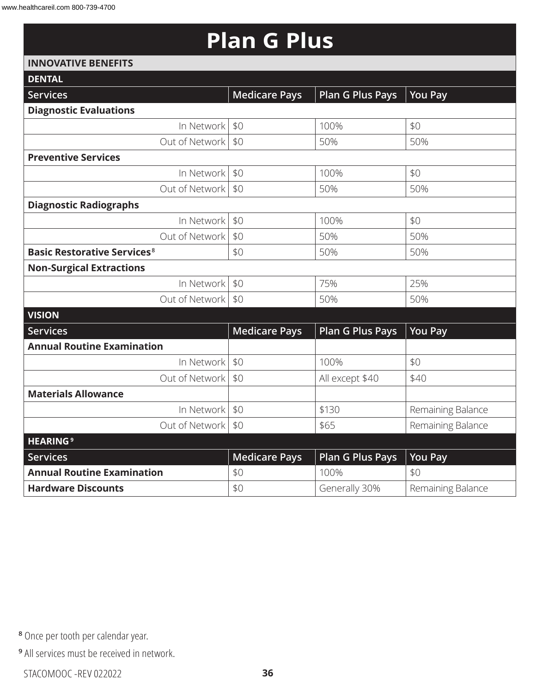# **Plan G Plus**

#### **INNOVATIVE BENEFITS**

| <b>DENTAL</b>                                 |                      |                         |                   |
|-----------------------------------------------|----------------------|-------------------------|-------------------|
| <b>Services</b>                               | <b>Medicare Pays</b> | <b>Plan G Plus Pays</b> | <b>You Pay</b>    |
| <b>Diagnostic Evaluations</b>                 |                      |                         |                   |
| In Network                                    | \$0                  | 100%                    | \$0               |
| Out of Network                                | \$0                  | 50%                     | 50%               |
| <b>Preventive Services</b>                    |                      |                         |                   |
| In Network                                    | \$0                  | 100%                    | \$0               |
| Out of Network                                | \$0                  | 50%                     | 50%               |
| <b>Diagnostic Radiographs</b>                 |                      |                         |                   |
| In Network                                    | \$0                  | 100%                    | \$0               |
| Out of Network                                | \$0                  | 50%                     | 50%               |
| <b>Basic Restorative Services<sup>8</sup></b> | \$0                  | 50%                     | 50%               |
| <b>Non-Surgical Extractions</b>               |                      |                         |                   |
| In Network                                    | \$0                  | 75%                     | 25%               |
| Out of Network                                | \$0                  | 50%                     | 50%               |
| <b>VISION</b>                                 |                      |                         |                   |
| <b>Services</b>                               | <b>Medicare Pays</b> | <b>Plan G Plus Pays</b> | <b>You Pay</b>    |
| <b>Annual Routine Examination</b>             |                      |                         |                   |
| In Network                                    | \$0                  | 100%                    | \$0               |
| Out of Network                                | \$0                  | All except \$40         | \$40              |
| <b>Materials Allowance</b>                    |                      |                         |                   |
| In Network                                    | \$0                  | \$130                   | Remaining Balance |
| Out of Network                                | \$0                  | \$65                    | Remaining Balance |
| <b>HEARING<sup>9</sup></b>                    |                      |                         |                   |
| <b>Services</b>                               | <b>Medicare Pays</b> | <b>Plan G Plus Pays</b> | <b>You Pay</b>    |
| <b>Annual Routine Examination</b>             | \$0                  | 100%                    | \$0               |
| <b>Hardware Discounts</b>                     | \$0                  | Generally 30%           | Remaining Balance |
|                                               |                      |                         |                   |

**<sup>8</sup>** Once per tooth per calendar year.

**<sup>9</sup>** All services must be received in network.

STACOMOOC -REV 022022 **36**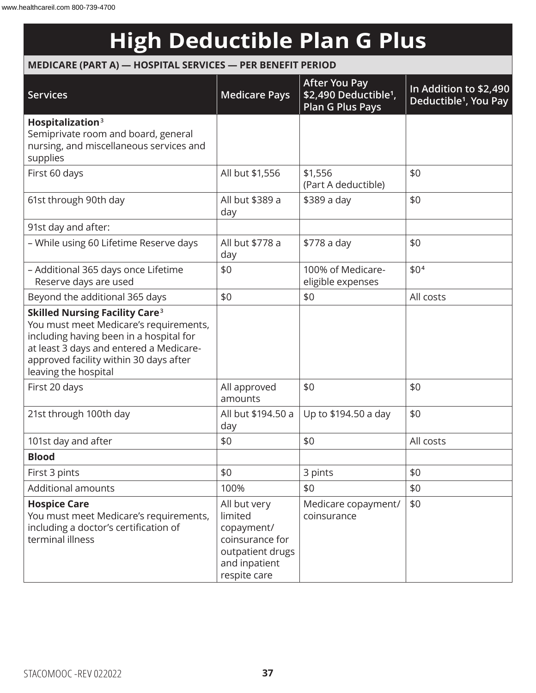# **High Deductible Plan G Plus**

### **MEDICARE (PART A) — HOSPITAL SERVICES — PER BENEFIT PERIOD**

| <b>Services</b>                                                                                                                                                                                                                                    | <b>Medicare Pays</b>                                                                                          | <b>After You Pay</b><br>\$2,490 Deductible <sup>1</sup> ,<br><b>Plan G Plus Pays</b> | In Addition to \$2,490<br>Deductible <sup>1</sup> , You Pay |
|----------------------------------------------------------------------------------------------------------------------------------------------------------------------------------------------------------------------------------------------------|---------------------------------------------------------------------------------------------------------------|--------------------------------------------------------------------------------------|-------------------------------------------------------------|
| Hospitalization <sup>3</sup><br>Semiprivate room and board, general<br>nursing, and miscellaneous services and<br>supplies                                                                                                                         |                                                                                                               |                                                                                      |                                                             |
| First 60 days                                                                                                                                                                                                                                      | All but \$1,556                                                                                               | \$1,556<br>(Part A deductible)                                                       | \$0                                                         |
| 61st through 90th day                                                                                                                                                                                                                              | All but \$389 a<br>day                                                                                        | \$389 a day                                                                          | \$0                                                         |
| 91st day and after:                                                                                                                                                                                                                                |                                                                                                               |                                                                                      |                                                             |
| - While using 60 Lifetime Reserve days                                                                                                                                                                                                             | All but \$778 a<br>day                                                                                        | \$778 a day                                                                          | \$0                                                         |
| - Additional 365 days once Lifetime<br>Reserve days are used                                                                                                                                                                                       | \$0                                                                                                           | 100% of Medicare-<br>eligible expenses                                               | \$0 <sup>4</sup>                                            |
| Beyond the additional 365 days                                                                                                                                                                                                                     | \$0                                                                                                           | \$0                                                                                  | All costs                                                   |
| <b>Skilled Nursing Facility Care<sup>3</sup></b><br>You must meet Medicare's requirements,<br>including having been in a hospital for<br>at least 3 days and entered a Medicare-<br>approved facility within 30 days after<br>leaving the hospital |                                                                                                               |                                                                                      |                                                             |
| First 20 days                                                                                                                                                                                                                                      | All approved<br>amounts                                                                                       | \$0                                                                                  | \$0                                                         |
| 21st through 100th day                                                                                                                                                                                                                             | All but \$194.50 a<br>day                                                                                     | Up to \$194.50 a day                                                                 | \$0                                                         |
| 101st day and after                                                                                                                                                                                                                                | \$0                                                                                                           | \$0                                                                                  | All costs                                                   |
| <b>Blood</b>                                                                                                                                                                                                                                       |                                                                                                               |                                                                                      |                                                             |
| First 3 pints                                                                                                                                                                                                                                      | \$0                                                                                                           | 3 pints                                                                              | \$0                                                         |
| Additional amounts                                                                                                                                                                                                                                 | 100%                                                                                                          | \$0                                                                                  | \$0                                                         |
| <b>Hospice Care</b><br>You must meet Medicare's requirements,<br>including a doctor's certification of<br>terminal illness                                                                                                                         | All but very<br>limited<br>copayment/<br>coinsurance for<br>outpatient drugs<br>and inpatient<br>respite care | Medicare copayment/<br>coinsurance                                                   | \$0                                                         |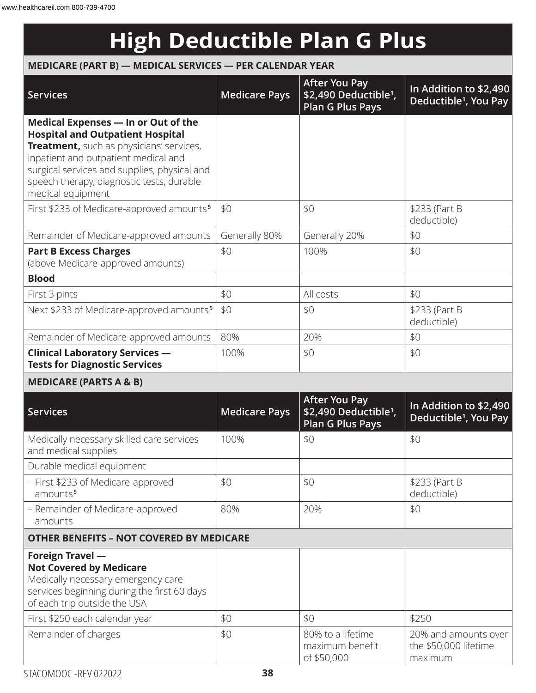# **High Deductible Plan G Plus**

### **MEDICARE (PART B) — MEDICAL SERVICES — PER CALENDAR YEAR**

| <b>Services</b>                                                                                                                                                                                                                                                                      | <b>Medicare Pays</b> | <b>After You Pay</b><br>\$2,490 Deductible <sup>1</sup> ,<br><b>Plan G Plus Pays</b> | In Addition to \$2,490<br>Deductible <sup>1</sup> , You Pay |
|--------------------------------------------------------------------------------------------------------------------------------------------------------------------------------------------------------------------------------------------------------------------------------------|----------------------|--------------------------------------------------------------------------------------|-------------------------------------------------------------|
| Medical Expenses - In or Out of the<br><b>Hospital and Outpatient Hospital</b><br>Treatment, such as physicians' services,<br>inpatient and outpatient medical and<br>surgical services and supplies, physical and<br>speech therapy, diagnostic tests, durable<br>medical equipment |                      |                                                                                      |                                                             |
| First \$233 of Medicare-approved amounts <sup>5</sup>                                                                                                                                                                                                                                | \$0                  | \$0                                                                                  | \$233 (Part B<br>deductible)                                |
| Remainder of Medicare-approved amounts                                                                                                                                                                                                                                               | Generally 80%        | Generally 20%                                                                        | \$0                                                         |
| <b>Part B Excess Charges</b><br>(above Medicare-approved amounts)                                                                                                                                                                                                                    | \$0                  | 100%                                                                                 | \$0                                                         |
| <b>Blood</b>                                                                                                                                                                                                                                                                         |                      |                                                                                      |                                                             |
| First 3 pints                                                                                                                                                                                                                                                                        | \$0                  | All costs                                                                            | \$0                                                         |
| Next \$233 of Medicare-approved amounts <sup>5</sup>                                                                                                                                                                                                                                 | \$0                  | \$0                                                                                  | \$233 (Part B<br>deductible)                                |
| Remainder of Medicare-approved amounts                                                                                                                                                                                                                                               | 80%                  | 20%                                                                                  | \$0                                                         |
| <b>Clinical Laboratory Services -</b><br><b>Tests for Diagnostic Services</b>                                                                                                                                                                                                        | 100%                 | \$0                                                                                  | \$0                                                         |
| <b>MEDICARE (PARTS A &amp; B)</b>                                                                                                                                                                                                                                                    |                      |                                                                                      |                                                             |
| <b>Services</b>                                                                                                                                                                                                                                                                      | <b>Medicare Pays</b> | <b>After You Pay</b><br>\$2,490 Deductible <sup>1</sup> ,<br><b>Plan G Plus Pays</b> | In Addition to \$2,490<br>Deductible <sup>1</sup> , You Pay |
| Medically necessary skilled care services<br>and medical supplies                                                                                                                                                                                                                    | 100%                 | \$0                                                                                  | \$0                                                         |
| Durable medical equipment                                                                                                                                                                                                                                                            |                      |                                                                                      |                                                             |
| - First \$233 of Medicare-approved<br>amounts <sup>5</sup>                                                                                                                                                                                                                           | \$0                  | \$0                                                                                  | \$233 (Part B<br>deductible)                                |
| - Remainder of Medicare-approved<br>amounts                                                                                                                                                                                                                                          | 80%                  | 20%                                                                                  | \$0                                                         |
| <b>OTHER BENEFITS - NOT COVERED BY MEDICARE</b>                                                                                                                                                                                                                                      |                      |                                                                                      |                                                             |
| <b>Foreign Travel -</b><br><b>Not Covered by Medicare</b><br>Medically necessary emergency care<br>services beginning during the first 60 days<br>of each trip outside the USA                                                                                                       |                      |                                                                                      |                                                             |
| First \$250 each calendar year                                                                                                                                                                                                                                                       | \$0                  | \$0                                                                                  | \$250                                                       |
| Remainder of charges                                                                                                                                                                                                                                                                 | \$0                  | 80% to a lifetime<br>maximum benefit<br>of \$50,000                                  | 20% and amounts over<br>the \$50,000 lifetime<br>maximum    |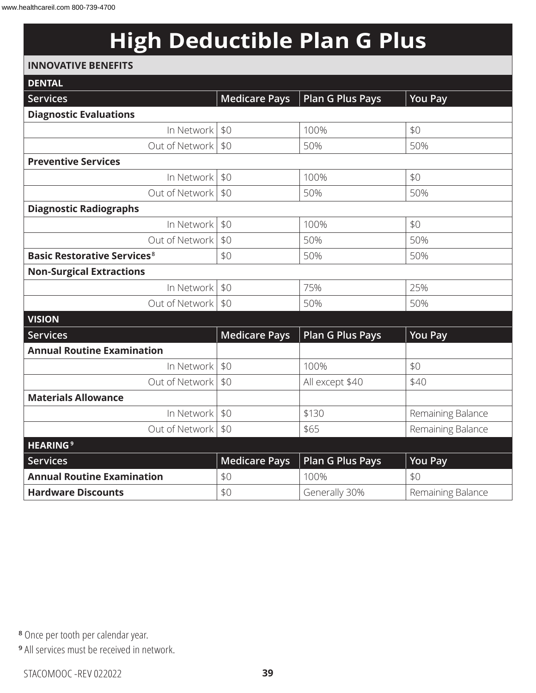# **High Deductible Plan G Plus**

#### **INNOVATIVE BENEFITS**

| <b>DENTAL</b>                                 |                      |                         |                   |
|-----------------------------------------------|----------------------|-------------------------|-------------------|
| Services                                      | <b>Medicare Pays</b> | <b>Plan G Plus Pays</b> | <b>You Pay</b>    |
| <b>Diagnostic Evaluations</b>                 |                      |                         |                   |
| In Network                                    | \$0                  | 100%                    | \$0               |
| Out of Network                                | \$0                  | 50%                     | 50%               |
| <b>Preventive Services</b>                    |                      |                         |                   |
| In Network                                    | \$0                  | 100%                    | \$0               |
| Out of Network                                | \$0                  | 50%                     | 50%               |
| <b>Diagnostic Radiographs</b>                 |                      |                         |                   |
| In Network                                    | \$0                  | 100%                    | \$0               |
| Out of Network                                | \$0                  | 50%                     | 50%               |
| <b>Basic Restorative Services<sup>8</sup></b> | \$0                  | 50%                     | 50%               |
| <b>Non-Surgical Extractions</b>               |                      |                         |                   |
| In Network                                    | \$0                  | 75%                     | 25%               |
| Out of Network                                | \$0                  | 50%                     | 50%               |
| <b>VISION</b>                                 |                      |                         |                   |
| <b>Services</b>                               | <b>Medicare Pays</b> | <b>Plan G Plus Pays</b> | You Pay           |
| <b>Annual Routine Examination</b>             |                      |                         |                   |
| In Network                                    | \$0                  | 100%                    | \$0               |
| Out of Network                                | \$0                  | All except \$40         | \$40              |
| <b>Materials Allowance</b>                    |                      |                         |                   |
| In Network                                    | \$0                  | \$130                   | Remaining Balance |
| Out of Network                                | \$0                  | \$65                    | Remaining Balance |
| <b>HEARING<sup>9</sup></b>                    |                      |                         |                   |
| <b>Services</b>                               | <b>Medicare Pays</b> | <b>Plan G Plus Pays</b> | <b>You Pay</b>    |
| <b>Annual Routine Examination</b>             | \$0                  | 100%                    | \$0               |
| <b>Hardware Discounts</b>                     | \$0                  | Generally 30%           | Remaining Balance |

**<sup>8</sup>** Once per tooth per calendar year.

**<sup>9</sup>** All services must be received in network.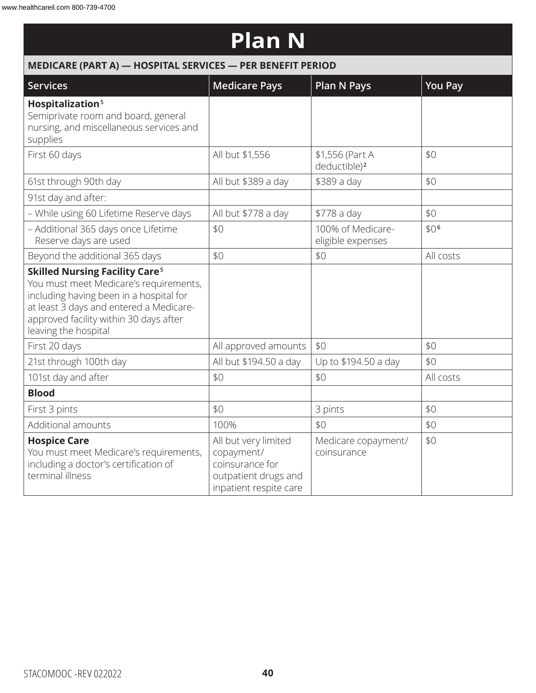### **Plan N**

| MEDICARE (PART A) - HOSPITAL SERVICES - PER BENEFIT PERIOD                                                                                                                                                                                         |                                                                                                         |                                             |                  |  |
|----------------------------------------------------------------------------------------------------------------------------------------------------------------------------------------------------------------------------------------------------|---------------------------------------------------------------------------------------------------------|---------------------------------------------|------------------|--|
| <b>Services</b>                                                                                                                                                                                                                                    | <b>Medicare Pays</b>                                                                                    | <b>Plan N Pays</b>                          | <b>You Pay</b>   |  |
| Hospitalization <sup>5</sup><br>Semiprivate room and board, general<br>nursing, and miscellaneous services and<br>supplies                                                                                                                         |                                                                                                         |                                             |                  |  |
| First 60 days                                                                                                                                                                                                                                      | All but \$1,556                                                                                         | \$1,556 (Part A<br>deductible) <sup>2</sup> | \$0              |  |
| 61st through 90th day                                                                                                                                                                                                                              | All but \$389 a day                                                                                     | \$389 a day                                 | \$0              |  |
| 91st day and after:                                                                                                                                                                                                                                |                                                                                                         |                                             |                  |  |
| - While using 60 Lifetime Reserve days                                                                                                                                                                                                             | All but \$778 a day                                                                                     | \$778 a day                                 | \$0              |  |
| - Additional 365 days once Lifetime<br>Reserve days are used                                                                                                                                                                                       | \$0                                                                                                     | 100% of Medicare-<br>eligible expenses      | \$0 <sup>6</sup> |  |
| Beyond the additional 365 days                                                                                                                                                                                                                     | \$0                                                                                                     | \$0                                         | All costs        |  |
| <b>Skilled Nursing Facility Care<sup>5</sup></b><br>You must meet Medicare's requirements,<br>including having been in a hospital for<br>at least 3 days and entered a Medicare-<br>approved facility within 30 days after<br>leaving the hospital |                                                                                                         |                                             |                  |  |
| First 20 days                                                                                                                                                                                                                                      | All approved amounts                                                                                    | \$0                                         | \$0              |  |
| 21st through 100th day                                                                                                                                                                                                                             | All but \$194.50 a day                                                                                  | Up to \$194.50 a day                        | \$0              |  |
| 101st day and after                                                                                                                                                                                                                                | \$0                                                                                                     | \$0                                         | All costs        |  |
| <b>Blood</b>                                                                                                                                                                                                                                       |                                                                                                         |                                             |                  |  |
| First 3 pints                                                                                                                                                                                                                                      | \$0                                                                                                     | 3 pints                                     | \$0              |  |
| Additional amounts                                                                                                                                                                                                                                 | 100%                                                                                                    | \$0                                         | \$0              |  |
| <b>Hospice Care</b><br>You must meet Medicare's requirements,<br>including a doctor's certification of<br>terminal illness                                                                                                                         | All but very limited<br>copayment/<br>coinsurance for<br>outpatient drugs and<br>inpatient respite care | Medicare copayment/<br>coinsurance          | \$0              |  |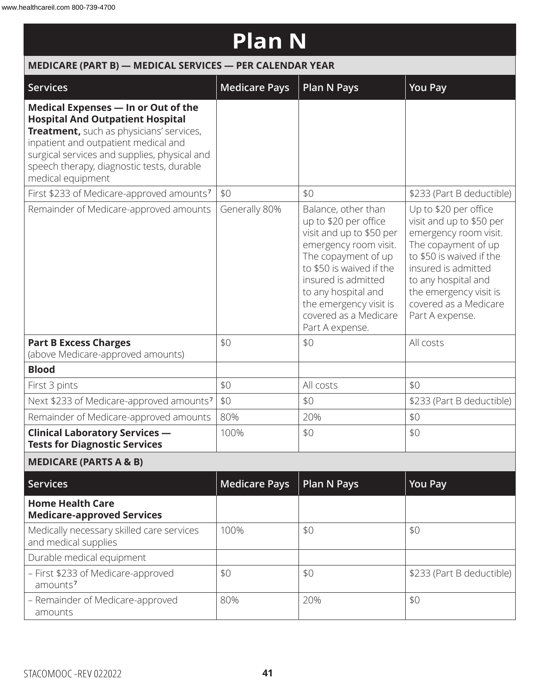### **Plan N**

| MEDICARE (PART B) - MEDICAL SERVICES - PER CALENDAR YEAR                                                                                                                                                                                                                             |                      |                                                                                                                                                                                                                                                                          |                                                                                                                                                                                                                                                   |
|--------------------------------------------------------------------------------------------------------------------------------------------------------------------------------------------------------------------------------------------------------------------------------------|----------------------|--------------------------------------------------------------------------------------------------------------------------------------------------------------------------------------------------------------------------------------------------------------------------|---------------------------------------------------------------------------------------------------------------------------------------------------------------------------------------------------------------------------------------------------|
| <b>Services</b>                                                                                                                                                                                                                                                                      | <b>Medicare Pays</b> | <b>Plan N Pays</b>                                                                                                                                                                                                                                                       | <b>You Pay</b>                                                                                                                                                                                                                                    |
| Medical Expenses - In or Out of the<br><b>Hospital And Outpatient Hospital</b><br>Treatment, such as physicians' services,<br>inpatient and outpatient medical and<br>surgical services and supplies, physical and<br>speech therapy, diagnostic tests, durable<br>medical equipment |                      |                                                                                                                                                                                                                                                                          |                                                                                                                                                                                                                                                   |
| First \$233 of Medicare-approved amounts <sup>7</sup>                                                                                                                                                                                                                                | \$0                  | \$0                                                                                                                                                                                                                                                                      | \$233 (Part B deductible)                                                                                                                                                                                                                         |
| Remainder of Medicare-approved amounts                                                                                                                                                                                                                                               | Generally 80%        | Balance, other than<br>up to \$20 per office<br>visit and up to \$50 per<br>emergency room visit.<br>The copayment of up<br>to \$50 is waived if the<br>insured is admitted<br>to any hospital and<br>the emergency visit is<br>covered as a Medicare<br>Part A expense. | Up to \$20 per office<br>visit and up to \$50 per<br>emergency room visit.<br>The copayment of up<br>to \$50 is waived if the<br>insured is admitted<br>to any hospital and<br>the emergency visit is<br>covered as a Medicare<br>Part A expense. |
| <b>Part B Excess Charges</b><br>(above Medicare-approved amounts)                                                                                                                                                                                                                    | \$0                  | \$0                                                                                                                                                                                                                                                                      | All costs                                                                                                                                                                                                                                         |
| <b>Blood</b>                                                                                                                                                                                                                                                                         |                      |                                                                                                                                                                                                                                                                          |                                                                                                                                                                                                                                                   |
| First 3 pints                                                                                                                                                                                                                                                                        | \$0                  | All costs                                                                                                                                                                                                                                                                | \$0                                                                                                                                                                                                                                               |
| Next \$233 of Medicare-approved amounts <sup>7</sup>                                                                                                                                                                                                                                 | \$0                  | \$0                                                                                                                                                                                                                                                                      | \$233 (Part B deductible)                                                                                                                                                                                                                         |
| Remainder of Medicare-approved amounts                                                                                                                                                                                                                                               | 80%                  | 20%                                                                                                                                                                                                                                                                      | \$0                                                                                                                                                                                                                                               |
| <b>Clinical Laboratory Services -</b><br><b>Tests for Diagnostic Services</b>                                                                                                                                                                                                        | 100%                 | \$0                                                                                                                                                                                                                                                                      | \$0                                                                                                                                                                                                                                               |
| <b>MEDICARE (PARTS A &amp; B)</b>                                                                                                                                                                                                                                                    |                      |                                                                                                                                                                                                                                                                          |                                                                                                                                                                                                                                                   |
| <b>Services</b>                                                                                                                                                                                                                                                                      | <b>Medicare Pays</b> | <b>Plan N Pays</b>                                                                                                                                                                                                                                                       | <b>You Pay</b>                                                                                                                                                                                                                                    |
| <b>Home Health Care</b><br><b>Medicare-approved Services</b>                                                                                                                                                                                                                         |                      |                                                                                                                                                                                                                                                                          |                                                                                                                                                                                                                                                   |
| Medically necessary skilled care services<br>and medical supplies                                                                                                                                                                                                                    | 100%                 | \$0                                                                                                                                                                                                                                                                      | \$0                                                                                                                                                                                                                                               |
| Durable medical equipment                                                                                                                                                                                                                                                            |                      |                                                                                                                                                                                                                                                                          |                                                                                                                                                                                                                                                   |
| - First \$233 of Medicare-approved<br>amounts <sup>7</sup>                                                                                                                                                                                                                           | \$0                  | \$0                                                                                                                                                                                                                                                                      | \$233 (Part B deductible)                                                                                                                                                                                                                         |
| - Remainder of Medicare-approved<br>amounts                                                                                                                                                                                                                                          | 80%                  | 20%                                                                                                                                                                                                                                                                      | \$0                                                                                                                                                                                                                                               |